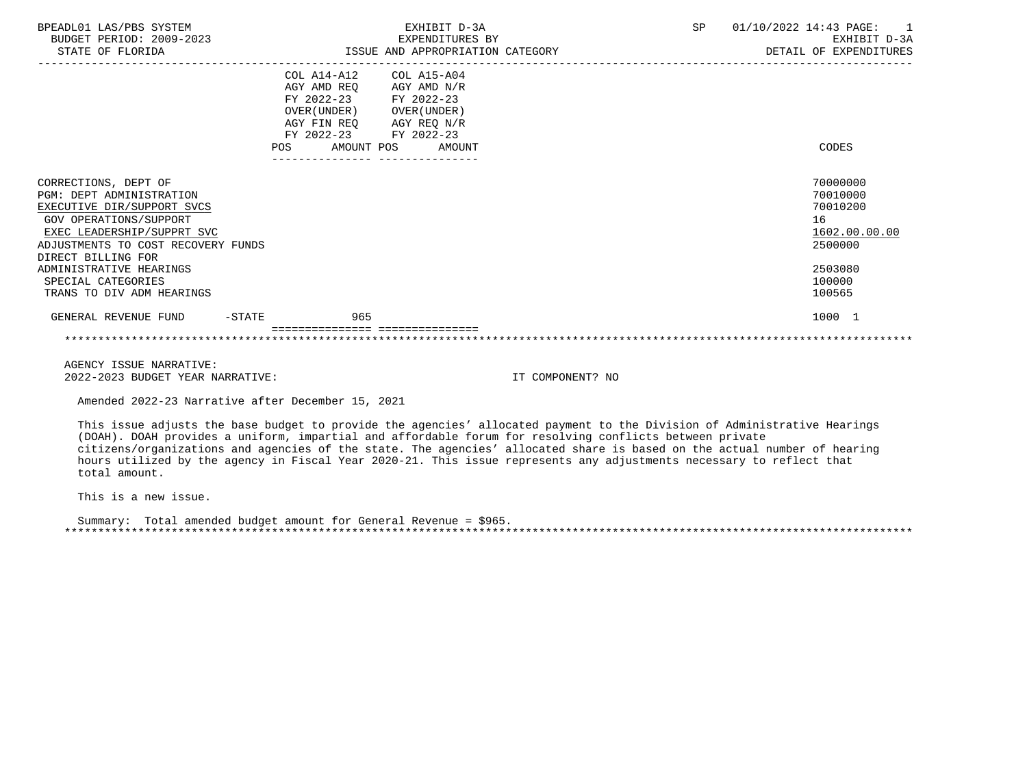| BPEADL01 LAS/PBS SYSTEM<br>BUDGET PERIOD: 2009-2023<br>STATE OF FLORIDA                                                                                                                                                                                                                 | EXHIBIT D-3A<br>EXPENDITURES BY<br>ISSUE AND APPROPRIATION CATEGORY                                                                                                                                       | SP<br>01/10/2022 14:43 PAGE:<br>$\sim$ 1<br>EXHIBIT D-3A<br>DETAIL OF EXPENDITURES                |
|-----------------------------------------------------------------------------------------------------------------------------------------------------------------------------------------------------------------------------------------------------------------------------------------|-----------------------------------------------------------------------------------------------------------------------------------------------------------------------------------------------------------|---------------------------------------------------------------------------------------------------|
|                                                                                                                                                                                                                                                                                         | COL A14-A12 COL A15-A04<br>AGY AMD REQ AGY AMD N/R<br>FY 2022-23 FY 2022-23<br>OVER (UNDER) OVER (UNDER)<br>AGY FIN REQ AGY REQ N/R<br>FY 2022-23 FY 2022-23<br>POS AMOUNT POS AMOUNT<br>---------------- | CODES                                                                                             |
| CORRECTIONS, DEPT OF<br><b>PGM: DEPT ADMINISTRATION</b><br>EXECUTIVE DIR/SUPPORT SVCS<br>GOV OPERATIONS/SUPPORT<br>EXEC LEADERSHIP/SUPPRT SVC<br>ADJUSTMENTS TO COST RECOVERY FUNDS<br>DIRECT BILLING FOR<br>ADMINISTRATIVE HEARINGS<br>SPECIAL CATEGORIES<br>TRANS TO DIV ADM HEARINGS |                                                                                                                                                                                                           | 70000000<br>70010000<br>70010200<br>16<br>1602.00.00.00<br>2500000<br>2503080<br>100000<br>100565 |
| GENERAL REVENUE FUND<br>$-STATE$                                                                                                                                                                                                                                                        | 965                                                                                                                                                                                                       | 1000 1                                                                                            |

 AGENCY ISSUE NARRATIVE: 2022-2023 BUDGET YEAR NARRATIVE: IT COMPONENT? NO

Amended 2022-23 Narrative after December 15, 2021

 This issue adjusts the base budget to provide the agencies' allocated payment to the Division of Administrative Hearings (DOAH). DOAH provides a uniform, impartial and affordable forum for resolving conflicts between private citizens/organizations and agencies of the state. The agencies' allocated share is based on the actual number of hearing hours utilized by the agency in Fiscal Year 2020-21. This issue represents any adjustments necessary to reflect that total amount.

This is a new issue.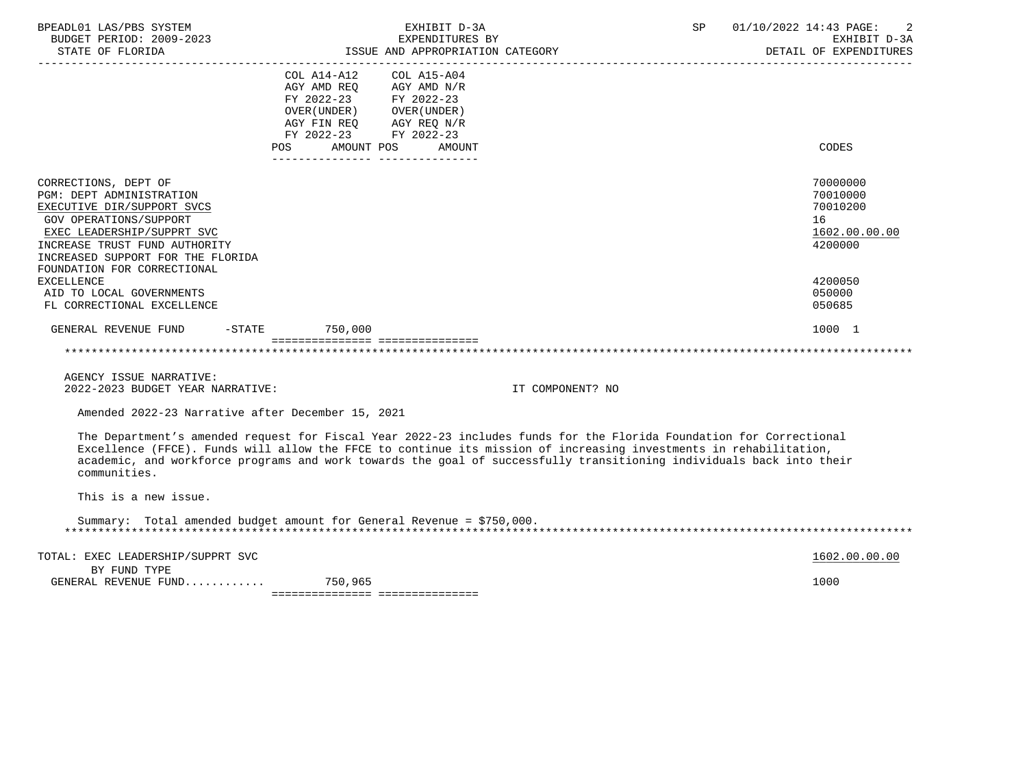| BPEADL01 LAS/PBS SYSTEM<br>BUDGET PERIOD: 2009-2023<br>STATE OF FLORIDA                                                                                                                                                                                                                                                                                                          |                                                                                                                                                                                             | EXHIBIT D-3A<br>EXPENDITURES BY<br>ISSUE AND APPROPRIATION CATEGORY |                  | SP | 01/10/2022 14:43 PAGE:<br>2<br>EXHIBIT D-3A<br>DETAIL OF EXPENDITURES |
|----------------------------------------------------------------------------------------------------------------------------------------------------------------------------------------------------------------------------------------------------------------------------------------------------------------------------------------------------------------------------------|---------------------------------------------------------------------------------------------------------------------------------------------------------------------------------------------|---------------------------------------------------------------------|------------------|----|-----------------------------------------------------------------------|
|                                                                                                                                                                                                                                                                                                                                                                                  | $COL A14 - A12$<br>AGY AMD REO<br>FY 2022-23 FY 2022-23<br>OVER (UNDER) OVER (UNDER)<br>AGY FIN REO<br>FY 2022-23 FY 2022-23<br>AMOUNT POS<br>POS<br>______________________________________ | $COL A15 - A04$<br>AGY AMD N/R<br>AGY REQ N/R<br>AMOUNT             |                  |    | CODES                                                                 |
| CORRECTIONS, DEPT OF<br>PGM: DEPT ADMINISTRATION<br>EXECUTIVE DIR/SUPPORT SVCS<br><b>GOV OPERATIONS/SUPPORT</b><br>EXEC LEADERSHIP/SUPPRT SVC<br>INCREASE TRUST FUND AUTHORITY<br>INCREASED SUPPORT FOR THE FLORIDA<br>FOUNDATION FOR CORRECTIONAL                                                                                                                               |                                                                                                                                                                                             |                                                                     |                  |    | 70000000<br>70010000<br>70010200<br>16<br>1602.00.00.00<br>4200000    |
| <b>EXCELLENCE</b><br>AID TO LOCAL GOVERNMENTS<br>FL CORRECTIONAL EXCELLENCE                                                                                                                                                                                                                                                                                                      |                                                                                                                                                                                             |                                                                     |                  |    | 4200050<br>050000<br>050685                                           |
| GENERAL REVENUE FUND                                                                                                                                                                                                                                                                                                                                                             | $-STATE$ 750,000                                                                                                                                                                            |                                                                     |                  |    | 1000 1                                                                |
|                                                                                                                                                                                                                                                                                                                                                                                  | ==================================                                                                                                                                                          |                                                                     |                  |    |                                                                       |
| AGENCY ISSUE NARRATIVE:<br>2022-2023 BUDGET YEAR NARRATIVE:                                                                                                                                                                                                                                                                                                                      |                                                                                                                                                                                             |                                                                     | IT COMPONENT? NO |    |                                                                       |
| Amended 2022-23 Narrative after December 15, 2021                                                                                                                                                                                                                                                                                                                                |                                                                                                                                                                                             |                                                                     |                  |    |                                                                       |
| The Department's amended request for Fiscal Year 2022-23 includes funds for the Florida Foundation for Correctional<br>Excellence (FFCE). Funds will allow the FFCE to continue its mission of increasing investments in rehabilitation,<br>academic, and workforce programs and work towards the goal of successfully transitioning individuals back into their<br>communities. |                                                                                                                                                                                             |                                                                     |                  |    |                                                                       |
| This is a new issue.                                                                                                                                                                                                                                                                                                                                                             |                                                                                                                                                                                             |                                                                     |                  |    |                                                                       |
| Summary: Total amended budget amount for General Revenue = \$750,000.                                                                                                                                                                                                                                                                                                            |                                                                                                                                                                                             |                                                                     |                  |    |                                                                       |
| TOTAL: EXEC LEADERSHIP/SUPPRT SVC                                                                                                                                                                                                                                                                                                                                                |                                                                                                                                                                                             |                                                                     |                  |    | 1602.00.00.00                                                         |
| BY FUND TYPE<br>GENERAL REVENUE FUND                                                                                                                                                                                                                                                                                                                                             | 750,965<br>================================                                                                                                                                                 |                                                                     |                  |    | 1000                                                                  |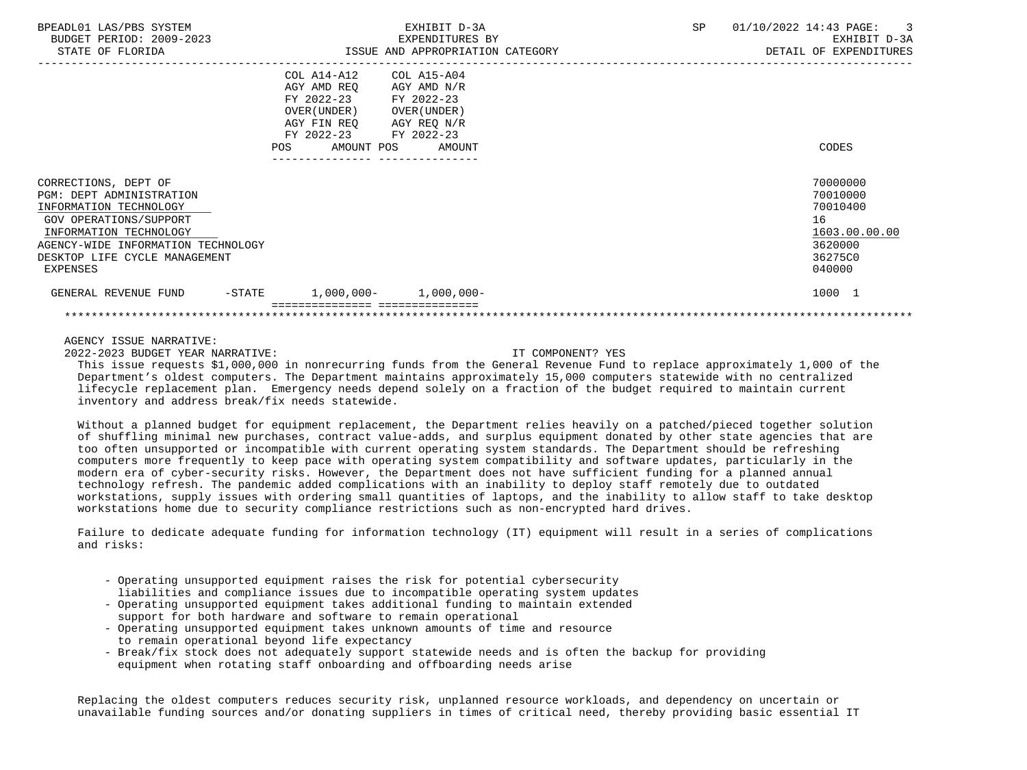| BPEADL01 LAS/PBS SYSTEM<br>BUDGET PERIOD: 2009-2023<br>STATE OF FLORIDA                                                                                                                                           | EXHIBIT D-3A<br>EXPENDITURES BY<br>ISSUE AND APPROPRIATION CATEGORY                                                                                                                                    | SP<br>01/10/2022 14:43 PAGE:<br>$\overline{\phantom{a}}$<br>EXHIBIT D-3A<br>DETAIL OF EXPENDITURES |
|-------------------------------------------------------------------------------------------------------------------------------------------------------------------------------------------------------------------|--------------------------------------------------------------------------------------------------------------------------------------------------------------------------------------------------------|----------------------------------------------------------------------------------------------------|
|                                                                                                                                                                                                                   | COL A14-A12<br>COL A15-A04<br>AGY AMD REO<br>AGY AMD N/R<br>FY 2022-23 FY 2022-23<br>OVER (UNDER )<br>OVER (UNDER )<br>AGY FIN REQ AGY REQ N/R<br>FY 2022-23 FY 2022-23<br>POS<br>AMOUNT POS<br>AMOUNT | CODES                                                                                              |
| CORRECTIONS, DEPT OF<br>PGM: DEPT ADMINISTRATION<br>INFORMATION TECHNOLOGY<br>GOV OPERATIONS/SUPPORT<br>INFORMATION TECHNOLOGY<br>AGENCY-WIDE INFORMATION TECHNOLOGY<br>DESKTOP LIFE CYCLE MANAGEMENT<br>EXPENSES |                                                                                                                                                                                                        | 70000000<br>70010000<br>70010400<br>16<br>1603.00.00.00<br>3620000<br>36275C0<br>040000            |
| GENERAL REVENUE FUND<br>$-\mathtt{STATE}$                                                                                                                                                                         | $1,000,000-1,000,000-$                                                                                                                                                                                 | 1000 1                                                                                             |
|                                                                                                                                                                                                                   |                                                                                                                                                                                                        |                                                                                                    |

2022-2023 BUDGET YEAR NARRATIVE: IT COMPONENT? YES

 This issue requests \$1,000,000 in nonrecurring funds from the General Revenue Fund to replace approximately 1,000 of the Department's oldest computers. The Department maintains approximately 15,000 computers statewide with no centralized lifecycle replacement plan. Emergency needs depend solely on a fraction of the budget required to maintain current inventory and address break/fix needs statewide.

 Without a planned budget for equipment replacement, the Department relies heavily on a patched/pieced together solution of shuffling minimal new purchases, contract value-adds, and surplus equipment donated by other state agencies that are too often unsupported or incompatible with current operating system standards. The Department should be refreshing computers more frequently to keep pace with operating system compatibility and software updates, particularly in the modern era of cyber-security risks. However, the Department does not have sufficient funding for a planned annual technology refresh. The pandemic added complications with an inability to deploy staff remotely due to outdated workstations, supply issues with ordering small quantities of laptops, and the inability to allow staff to take desktop workstations home due to security compliance restrictions such as non-encrypted hard drives.

 Failure to dedicate adequate funding for information technology (IT) equipment will result in a series of complications and risks:

- Operating unsupported equipment raises the risk for potential cybersecurity liabilities and compliance issues due to incompatible operating system updates
- Operating unsupported equipment takes additional funding to maintain extended support for both hardware and software to remain operational
- Operating unsupported equipment takes unknown amounts of time and resource to remain operational beyond life expectancy
- Break/fix stock does not adequately support statewide needs and is often the backup for providing equipment when rotating staff onboarding and offboarding needs arise

 Replacing the oldest computers reduces security risk, unplanned resource workloads, and dependency on uncertain or unavailable funding sources and/or donating suppliers in times of critical need, thereby providing basic essential IT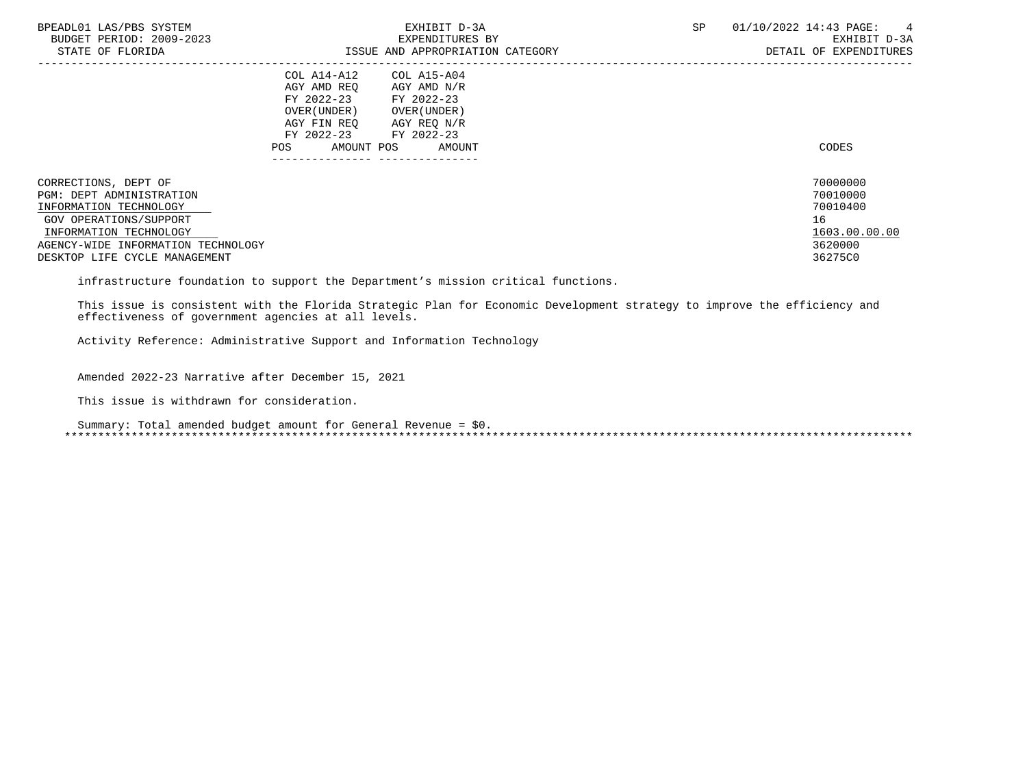| BPEADL01 LAS/PBS SYSTEM<br>BUDGET PERIOD: 2009-2023<br>STATE OF FLORIDA                                                                                                                                      | EXHIBIT D-3A<br>EXPENDITURES BY<br>ISSUE AND APPROPRIATION CATEGORY                                                                                                                                             | SP | 01/10/2022 14:43 PAGE:<br>$\frac{4}{3}$<br>EXHIBIT D-3A<br>DETAIL OF EXPENDITURES |
|--------------------------------------------------------------------------------------------------------------------------------------------------------------------------------------------------------------|-----------------------------------------------------------------------------------------------------------------------------------------------------------------------------------------------------------------|----|-----------------------------------------------------------------------------------|
|                                                                                                                                                                                                              | COL A14-A12<br>COL A15-A04<br>AGY AMD REO<br>AGY AMD N/R<br>FY 2022-23<br>FY 2022-23<br>OVER (UNDER )<br>OVER (UNDER )<br>AGY REQ N/R<br>AGY FIN REO<br>FY 2022-23<br>FY 2022-23<br>AMOUNT POS<br>AMOUNT<br>POS |    | CODES                                                                             |
| CORRECTIONS, DEPT OF<br><b>PGM: DEPT ADMINISTRATION</b><br>INFORMATION TECHNOLOGY<br>GOV OPERATIONS/SUPPORT<br>INFORMATION TECHNOLOGY<br>AGENCY-WIDE INFORMATION TECHNOLOGY<br>DESKTOP LIFE CYCLE MANAGEMENT |                                                                                                                                                                                                                 |    | 70000000<br>70010000<br>70010400<br>16<br>1603.00.00.00<br>3620000<br>36275C0     |

infrastructure foundation to support the Department's mission critical functions.

 This issue is consistent with the Florida Strategic Plan for Economic Development strategy to improve the efficiency and effectiveness of government agencies at all levels.

Activity Reference: Administrative Support and Information Technology

Amended 2022-23 Narrative after December 15, 2021

This issue is withdrawn for consideration.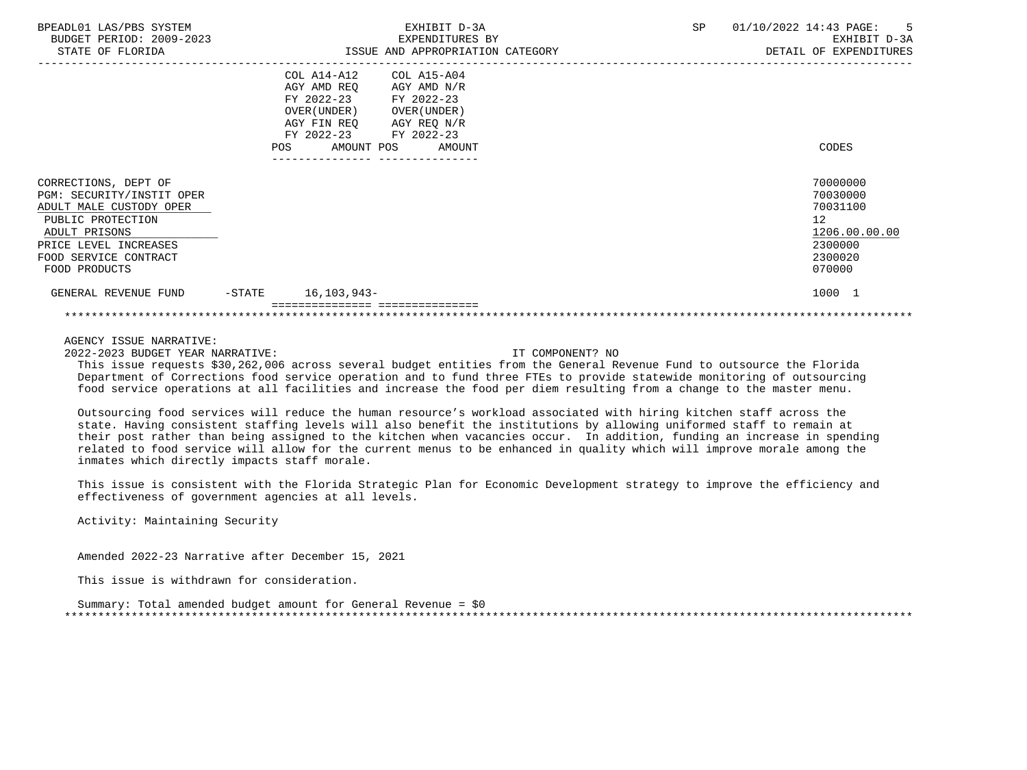| BPEADL01 LAS/PBS SYSTEM<br>BUDGET PERIOD: 2009-2023<br>STATE OF FLORIDA                                                                                                               |                   | EXHIBIT D-3A<br>EXPENDITURES BY<br>ISSUE AND APPROPRIATION CATEGORY                                                                                                                               | SP | 01/10/2022 14:43 PAGE:<br>-5<br>EXHIBIT D-3A<br>DETAIL OF EXPENDITURES                  |
|---------------------------------------------------------------------------------------------------------------------------------------------------------------------------------------|-------------------|---------------------------------------------------------------------------------------------------------------------------------------------------------------------------------------------------|----|-----------------------------------------------------------------------------------------|
|                                                                                                                                                                                       | POS               | COL A14-A12<br>COL A15-A04<br>AGY AMD REQ<br>AGY AMD N/R<br>FY 2022-23 FY 2022-23<br>OVER ( UNDER )<br>OVER ( UNDER )<br>AGY FIN REO AGY REO N/R<br>FY 2022-23 FY 2022-23<br>AMOUNT POS<br>AMOUNT |    | CODES                                                                                   |
| CORRECTIONS, DEPT OF<br>PGM: SECURITY/INSTIT OPER<br>ADULT MALE CUSTODY OPER<br>PUBLIC PROTECTION<br>ADULT PRISONS<br>PRICE LEVEL INCREASES<br>FOOD SERVICE CONTRACT<br>FOOD PRODUCTS |                   |                                                                                                                                                                                                   |    | 70000000<br>70030000<br>70031100<br>12<br>1206.00.00.00<br>2300000<br>2300020<br>070000 |
| GENERAL REVENUE FUND                                                                                                                                                                  | $-\mathtt{STATE}$ | 16,103,943-                                                                                                                                                                                       |    | 1000 1                                                                                  |
|                                                                                                                                                                                       |                   |                                                                                                                                                                                                   |    |                                                                                         |

2022-2023 BUDGET YEAR NARRATIVE: IT COMPONENT? NO

 This issue requests \$30,262,006 across several budget entities from the General Revenue Fund to outsource the Florida Department of Corrections food service operation and to fund three FTEs to provide statewide monitoring of outsourcing food service operations at all facilities and increase the food per diem resulting from a change to the master menu.

 Outsourcing food services will reduce the human resource's workload associated with hiring kitchen staff across the state. Having consistent staffing levels will also benefit the institutions by allowing uniformed staff to remain at their post rather than being assigned to the kitchen when vacancies occur. In addition, funding an increase in spending related to food service will allow for the current menus to be enhanced in quality which will improve morale among the inmates which directly impacts staff morale.

 This issue is consistent with the Florida Strategic Plan for Economic Development strategy to improve the efficiency and effectiveness of government agencies at all levels.

Activity: Maintaining Security

Amended 2022-23 Narrative after December 15, 2021

This issue is withdrawn for consideration.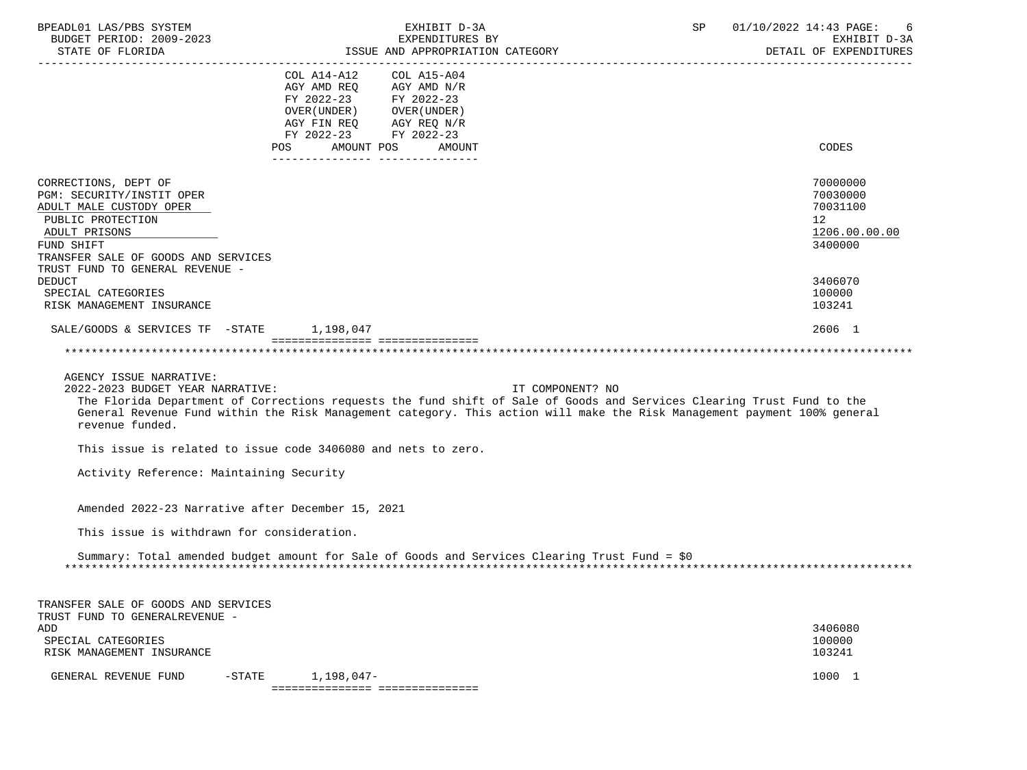| BPEADL01 LAS/PBS SYSTEM<br>BUDGET PERIOD: 2009-2023<br>STATE OF FLORIDA                                                                                                                                                     |                                                                                                                                                      | EXHIBIT D-3A<br>EXPENDITURES BY<br>ISSUE AND APPROPRIATION CATEGORY                                                                                                                                                                                                    | SP | 01/10/2022 14:43 PAGE:<br>EXHIBIT D-3A<br>DETAIL OF EXPENDITURES              |
|-----------------------------------------------------------------------------------------------------------------------------------------------------------------------------------------------------------------------------|------------------------------------------------------------------------------------------------------------------------------------------------------|------------------------------------------------------------------------------------------------------------------------------------------------------------------------------------------------------------------------------------------------------------------------|----|-------------------------------------------------------------------------------|
|                                                                                                                                                                                                                             | COL A14-A12<br>AGY AMD REQ<br>FY 2022-23 FY 2022-23<br>OVER (UNDER) OVER (UNDER)<br>AGY FIN REQ<br>FY 2022-23 FY 2022-23<br><b>POS</b><br>AMOUNT POS | COL A15-A04<br>AGY AMD N/R<br>AGY REQ N/R<br>AMOUNT                                                                                                                                                                                                                    |    | CODES                                                                         |
| CORRECTIONS, DEPT OF<br>PGM: SECURITY/INSTIT OPER<br>ADULT MALE CUSTODY OPER<br>PUBLIC PROTECTION<br>ADULT PRISONS<br>FUND SHIFT<br>TRANSFER SALE OF GOODS AND SERVICES<br>TRUST FUND TO GENERAL REVENUE -<br><b>DEDUCT</b> |                                                                                                                                                      |                                                                                                                                                                                                                                                                        |    | 70000000<br>70030000<br>70031100<br>12<br>1206.00.00.00<br>3400000<br>3406070 |
| SPECIAL CATEGORIES<br>RISK MANAGEMENT INSURANCE                                                                                                                                                                             |                                                                                                                                                      |                                                                                                                                                                                                                                                                        |    | 100000<br>103241                                                              |
| SALE/GOODS & SERVICES TF -STATE                                                                                                                                                                                             | 1,198,047                                                                                                                                            |                                                                                                                                                                                                                                                                        |    | 2606 1                                                                        |
|                                                                                                                                                                                                                             | =================================                                                                                                                    |                                                                                                                                                                                                                                                                        |    |                                                                               |
| AGENCY ISSUE NARRATIVE:<br>2022-2023 BUDGET YEAR NARRATIVE:<br>revenue funded.<br>This issue is related to issue code 3406080 and nets to zero.<br>Activity Reference: Maintaining Security                                 |                                                                                                                                                      | IT COMPONENT? NO<br>The Florida Department of Corrections requests the fund shift of Sale of Goods and Services Clearing Trust Fund to the<br>General Revenue Fund within the Risk Management category. This action will make the Risk Management payment 100% general |    |                                                                               |
|                                                                                                                                                                                                                             |                                                                                                                                                      |                                                                                                                                                                                                                                                                        |    |                                                                               |
| Amended 2022-23 Narrative after December 15, 2021                                                                                                                                                                           |                                                                                                                                                      |                                                                                                                                                                                                                                                                        |    |                                                                               |
| This issue is withdrawn for consideration.                                                                                                                                                                                  |                                                                                                                                                      | Summary: Total amended budget amount for Sale of Goods and Services Clearing Trust Fund = \$0                                                                                                                                                                          |    |                                                                               |
| TRANSFER SALE OF GOODS AND SERVICES<br>TRUST FUND TO GENERALREVENUE -                                                                                                                                                       |                                                                                                                                                      |                                                                                                                                                                                                                                                                        |    |                                                                               |
| ADD<br>SPECIAL CATEGORIES<br>RISK MANAGEMENT INSURANCE                                                                                                                                                                      |                                                                                                                                                      |                                                                                                                                                                                                                                                                        |    | 3406080<br>100000<br>103241                                                   |
| GENERAL REVENUE FUND                                                                                                                                                                                                        | $-$ STATE<br>1,198,047-<br>================================                                                                                          |                                                                                                                                                                                                                                                                        |    | 1000 1                                                                        |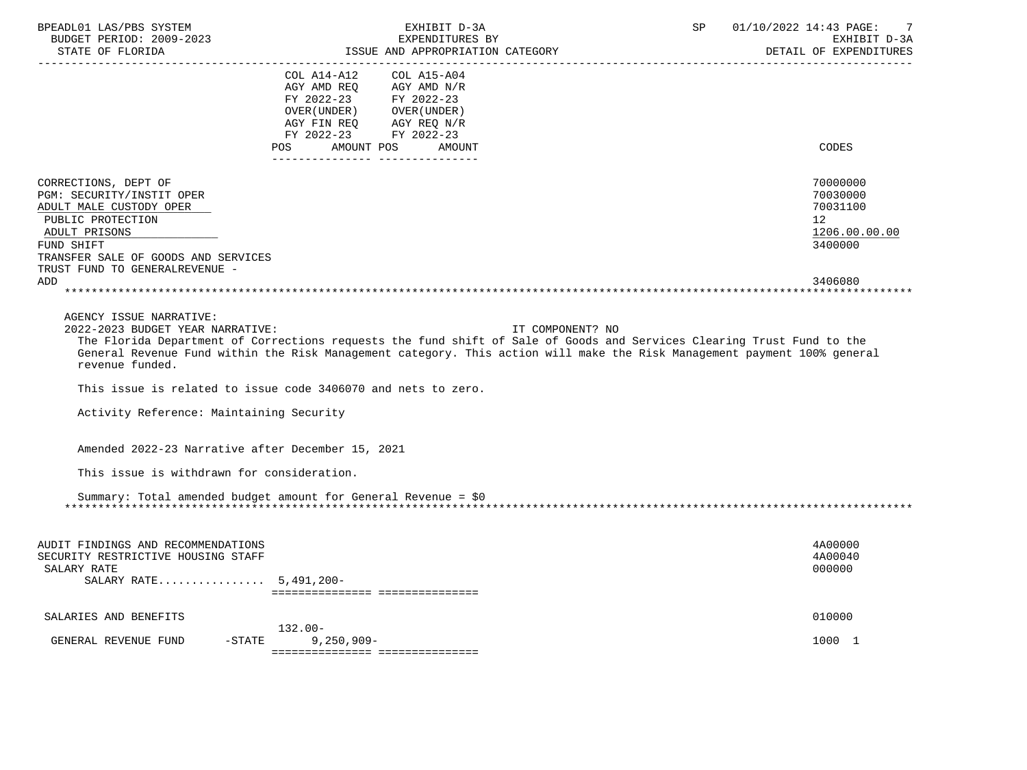| BPEADL01 LAS/PBS SYSTEM<br>BUDGET PERIOD: 2009-2023<br>STATE OF FLORIDA | EXHIBIT D-3A<br>EXPENDITURES BY<br>ISSUE AND APPROPRIATION CATEGORY                                                      | SP.              | 01/10/2022 14:43 PAGE:<br>7<br>EXHIBIT D-3A<br>DETAIL OF EXPENDITURES |
|-------------------------------------------------------------------------|--------------------------------------------------------------------------------------------------------------------------|------------------|-----------------------------------------------------------------------|
|                                                                         | COL A14-A12<br>COL A15-A04                                                                                               |                  |                                                                       |
|                                                                         | AGY AMD REO<br>AGY AMD N/R                                                                                               |                  |                                                                       |
|                                                                         | FY 2022-23<br>FY 2022-23                                                                                                 |                  |                                                                       |
|                                                                         | OVER (UNDER) OVER (UNDER)                                                                                                |                  |                                                                       |
|                                                                         | AGY FIN REQ<br>AGY REQ N/R                                                                                               |                  |                                                                       |
|                                                                         | FY 2022-23 FY 2022-23<br>AMOUNT POS<br>POS<br>AMOUNT<br>______________________________________                           |                  | CODES                                                                 |
|                                                                         |                                                                                                                          |                  |                                                                       |
| CORRECTIONS, DEPT OF                                                    |                                                                                                                          |                  | 70000000                                                              |
| PGM: SECURITY/INSTIT OPER                                               |                                                                                                                          |                  | 70030000                                                              |
| ADULT MALE CUSTODY OPER                                                 |                                                                                                                          |                  | 70031100                                                              |
| PUBLIC PROTECTION                                                       |                                                                                                                          |                  | 12 <sup>°</sup>                                                       |
| ADULT PRISONS                                                           |                                                                                                                          |                  | 1206.00.00.00                                                         |
| FUND SHIFT                                                              |                                                                                                                          |                  | 3400000                                                               |
| TRANSFER SALE OF GOODS AND SERVICES                                     |                                                                                                                          |                  |                                                                       |
| TRUST FUND TO GENERALREVENUE -                                          |                                                                                                                          |                  |                                                                       |
| ADD                                                                     |                                                                                                                          |                  | 3406080                                                               |
|                                                                         |                                                                                                                          |                  |                                                                       |
| AGENCY ISSUE NARRATIVE:                                                 |                                                                                                                          |                  |                                                                       |
| 2022-2023 BUDGET YEAR NARRATIVE:                                        |                                                                                                                          | IT COMPONENT? NO |                                                                       |
|                                                                         | The Florida Department of Corrections requests the fund shift of Sale of Goods and Services Clearing Trust Fund to the   |                  |                                                                       |
|                                                                         | General Revenue Fund within the Risk Management category. This action will make the Risk Management payment 100% general |                  |                                                                       |
| revenue funded.                                                         |                                                                                                                          |                  |                                                                       |
|                                                                         |                                                                                                                          |                  |                                                                       |
|                                                                         | This issue is related to issue code 3406070 and nets to zero.                                                            |                  |                                                                       |
| Activity Reference: Maintaining Security                                |                                                                                                                          |                  |                                                                       |
|                                                                         |                                                                                                                          |                  |                                                                       |
|                                                                         |                                                                                                                          |                  |                                                                       |
| Amended 2022-23 Narrative after December 15, 2021                       |                                                                                                                          |                  |                                                                       |
|                                                                         |                                                                                                                          |                  |                                                                       |
| This issue is withdrawn for consideration.                              |                                                                                                                          |                  |                                                                       |
|                                                                         |                                                                                                                          |                  |                                                                       |
|                                                                         | Summary: Total amended budget amount for General Revenue = \$0                                                           |                  |                                                                       |
|                                                                         |                                                                                                                          |                  |                                                                       |
|                                                                         |                                                                                                                          |                  |                                                                       |
| AUDIT FINDINGS AND RECOMMENDATIONS                                      |                                                                                                                          |                  | 4A00000                                                               |
| SECURITY RESTRICTIVE HOUSING STAFF                                      |                                                                                                                          |                  | 4A00040                                                               |
| SALARY RATE                                                             |                                                                                                                          |                  | 000000                                                                |
| SALARY RATE 5,491,200-                                                  |                                                                                                                          |                  |                                                                       |
|                                                                         | =================================                                                                                        |                  |                                                                       |
|                                                                         |                                                                                                                          |                  |                                                                       |
| SALARIES AND BENEFITS                                                   |                                                                                                                          |                  | 010000                                                                |
| GENERAL REVENUE FUND                                                    | $132.00 -$<br>-STATE<br>$9,250,909 -$                                                                                    |                  | 1000 1                                                                |
|                                                                         | ================================                                                                                         |                  |                                                                       |
|                                                                         |                                                                                                                          |                  |                                                                       |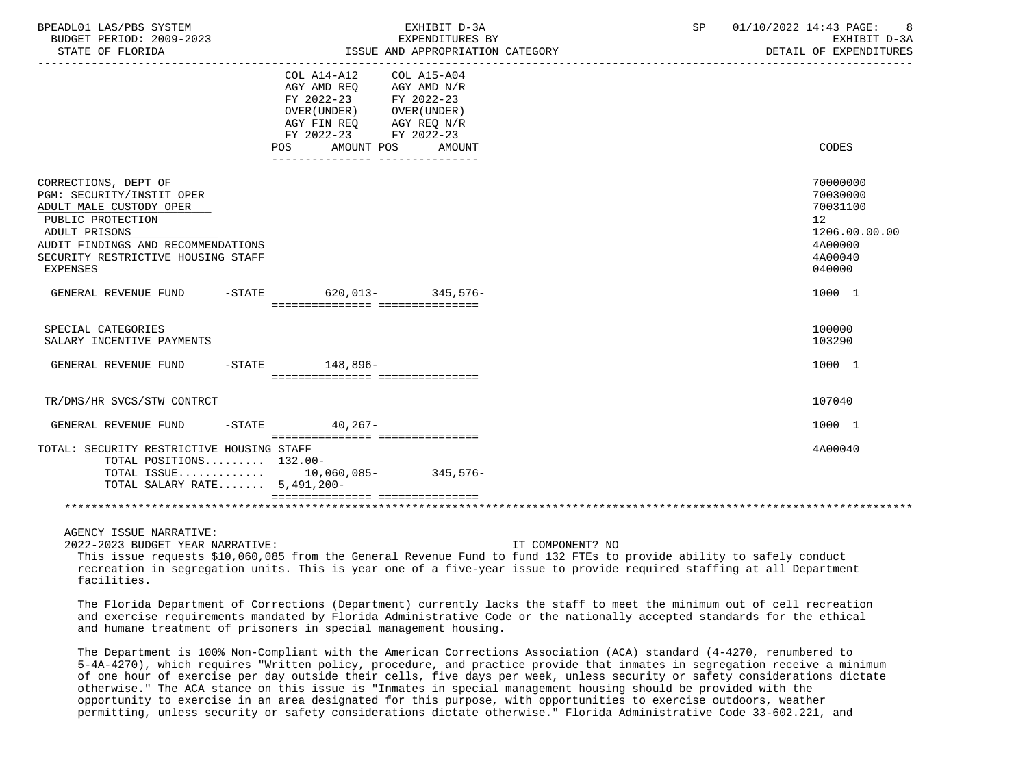| BPEADL01 LAS/PBS SYSTEM<br>BUDGET PERIOD: 2009-2023<br>STATE OF FLORIDA                                                                                                                                           |                                                                                                                         | EXHIBIT D-3A<br>EXPENDITURES BY<br>ISSUE AND APPROPRIATION CATEGORY                | SP | 01/10/2022 14:43 PAGE:<br>EXHIBIT D-3A<br>DETAIL OF EXPENDITURES                                     |
|-------------------------------------------------------------------------------------------------------------------------------------------------------------------------------------------------------------------|-------------------------------------------------------------------------------------------------------------------------|------------------------------------------------------------------------------------|----|------------------------------------------------------------------------------------------------------|
|                                                                                                                                                                                                                   | COL A14-A12<br>AGY AMD REO<br>FY 2022-23 FY 2022-23<br>OVER ( UNDER )<br>AGY FIN REQ<br>FY 2022-23<br>AMOUNT POS<br>POS | COL A15-A04<br>AGY AMD N/R<br>OVER (UNDER )<br>AGY REQ N/R<br>FY 2022-23<br>AMOUNT |    | CODES                                                                                                |
| CORRECTIONS, DEPT OF<br>PGM: SECURITY/INSTIT OPER<br>ADULT MALE CUSTODY OPER<br>PUBLIC PROTECTION<br>ADULT PRISONS<br>AUDIT FINDINGS AND RECOMMENDATIONS<br>SECURITY RESTRICTIVE HOUSING STAFF<br><b>EXPENSES</b> |                                                                                                                         |                                                                                    |    | 70000000<br>70030000<br>70031100<br>12 <sup>°</sup><br>1206.00.00.00<br>4A00000<br>4A00040<br>040000 |
| GENERAL REVENUE FUND                                                                                                                                                                                              | -STATE 620.013- 345.576-<br>=================================                                                           |                                                                                    |    | 1000 1                                                                                               |
| SPECIAL CATEGORIES<br>SALARY INCENTIVE PAYMENTS                                                                                                                                                                   |                                                                                                                         |                                                                                    |    | 100000<br>103290                                                                                     |
| GENERAL REVENUE FUND                                                                                                                                                                                              | -STATE 148,896-<br>____________________________________                                                                 |                                                                                    |    | 1000 1                                                                                               |
| TR/DMS/HR SVCS/STW CONTRCT                                                                                                                                                                                        |                                                                                                                         |                                                                                    |    | 107040                                                                                               |
| GENERAL REVENUE FUND                                                                                                                                                                                              | -STATE 40.267-<br>=================================                                                                     |                                                                                    |    | 1000 1                                                                                               |
| TOTAL: SECURITY RESTRICTIVE HOUSING STAFF<br>TOTAL POSITIONS 132.00-<br>TOTAL ISSUE 10,060,085- 345,576-<br>TOTAL SALARY RATE 5,491,200-                                                                          | ================================                                                                                        |                                                                                    |    | 4A00040                                                                                              |
|                                                                                                                                                                                                                   |                                                                                                                         |                                                                                    |    |                                                                                                      |
| AGENCY ISSUE NARRATIVE:                                                                                                                                                                                           |                                                                                                                         |                                                                                    |    |                                                                                                      |

2022-2023 BUDGET YEAR NARRATIVE: IT COMPONENT? NO

 This issue requests \$10,060,085 from the General Revenue Fund to fund 132 FTEs to provide ability to safely conduct recreation in segregation units. This is year one of a five-year issue to provide required staffing at all Department facilities.

 The Florida Department of Corrections (Department) currently lacks the staff to meet the minimum out of cell recreation and exercise requirements mandated by Florida Administrative Code or the nationally accepted standards for the ethical and humane treatment of prisoners in special management housing.

 The Department is 100% Non-Compliant with the American Corrections Association (ACA) standard (4-4270, renumbered to 5-4A-4270), which requires "Written policy, procedure, and practice provide that inmates in segregation receive a minimum of one hour of exercise per day outside their cells, five days per week, unless security or safety considerations dictate otherwise." The ACA stance on this issue is "Inmates in special management housing should be provided with the opportunity to exercise in an area designated for this purpose, with opportunities to exercise outdoors, weather permitting, unless security or safety considerations dictate otherwise." Florida Administrative Code 33-602.221, and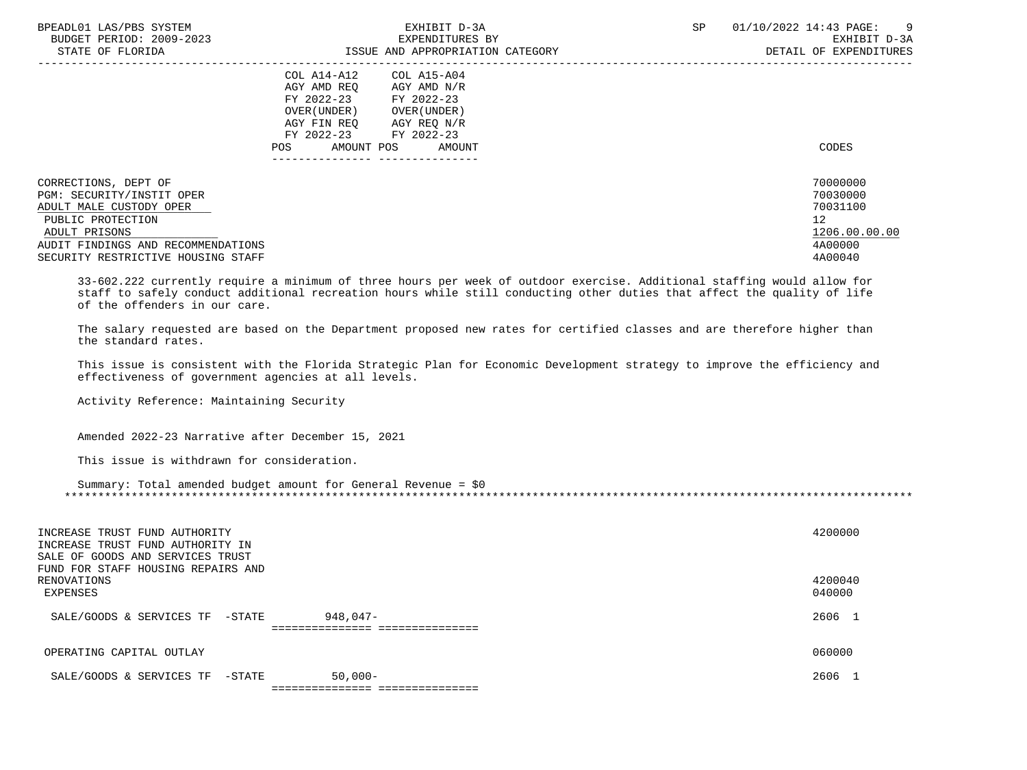| BPEADL01 LAS/PBS SYSTEM<br>BUDGET PERIOD: 2009-2023<br>STATE OF FLORIDA                                                                                                                        | EXHIBIT D-3A<br>EXPENDITURES BY<br>ISSUE AND APPROPRIATION CATEGORY                                                                                                              | <b>SP</b> | 01/10/2022 14:43 PAGE:<br>- 9<br>EXHIBIT D-3A<br>DETAIL OF EXPENDITURES       |
|------------------------------------------------------------------------------------------------------------------------------------------------------------------------------------------------|----------------------------------------------------------------------------------------------------------------------------------------------------------------------------------|-----------|-------------------------------------------------------------------------------|
|                                                                                                                                                                                                | COL A14-A12<br>COL A15-A04<br>AGY AMD REO<br>AGY AMD N/R<br>FY 2022-23<br>FY 2022-23<br>OVER ( UNDER )<br>OVER (UNDER)<br>AGY FIN REO<br>AGY REQ N/R<br>FY 2022-23<br>FY 2022-23 |           |                                                                               |
|                                                                                                                                                                                                | POS<br>AMOUNT POS<br>AMOUNT                                                                                                                                                      |           | CODES                                                                         |
| CORRECTIONS, DEPT OF<br>PGM: SECURITY/INSTIT OPER<br>ADULT MALE CUSTODY OPER<br>PUBLIC PROTECTION<br>ADULT PRISONS<br>AUDIT FINDINGS AND RECOMMENDATIONS<br>SECURITY RESTRICTIVE HOUSING STAFF |                                                                                                                                                                                  |           | 70000000<br>70030000<br>70031100<br>12<br>1206.00.00.00<br>4A00000<br>4A00040 |

 33-602.222 currently require a minimum of three hours per week of outdoor exercise. Additional staffing would allow for staff to safely conduct additional recreation hours while still conducting other duties that affect the quality of life of the offenders in our care.

 The salary requested are based on the Department proposed new rates for certified classes and are therefore higher than the standard rates.

 This issue is consistent with the Florida Strategic Plan for Economic Development strategy to improve the efficiency and effectiveness of government agencies at all levels.

Activity Reference: Maintaining Security

Amended 2022-23 Narrative after December 15, 2021

This issue is withdrawn for consideration.

| Summary: Total amended budget amount for General Revenue = \$0 |  |
|----------------------------------------------------------------|--|
|                                                                |  |

| INCREASE TRUST FUND AUTHORITY<br>INCREASE TRUST FUND AUTHORITY IN<br>SALE OF GOODS AND SERVICES TRUST<br>FUND FOR STAFF HOUSING REPAIRS AND<br>RENOVATIONS<br>EXPENSES |                                               | 4200000<br>4200040<br>040000 |
|------------------------------------------------------------------------------------------------------------------------------------------------------------------------|-----------------------------------------------|------------------------------|
| SALE/GOODS & SERVICES TF<br>-STATE                                                                                                                                     | $948.047 -$<br>============================== | 2606                         |
| OPERATING CAPITAL OUTLAY                                                                                                                                               |                                               | 060000                       |
| SALE/GOODS & SERVICES TF<br>-STATE                                                                                                                                     | $50,000-$<br>===============                  | 2606                         |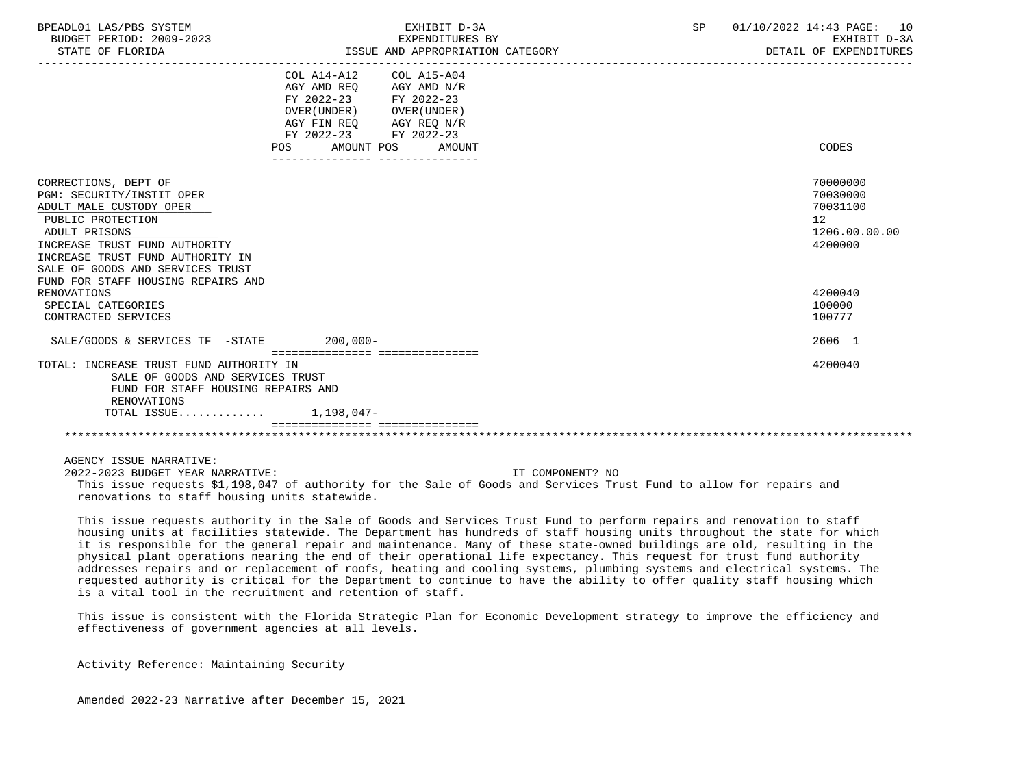| BPEADL01 LAS/PBS SYSTEM<br>BUDGET PERIOD: 2009-2023<br>STATE OF FLORIDA                                                                                                                                                                                           | EXHIBIT D-3A<br>EXPENDITURES BY<br>ISSUE AND APPROPRIATION CATEGORY                                                                                                | SP | 01/10/2022 14:43 PAGE: 10<br>EXHIBIT D-3A<br>DETAIL OF EXPENDITURES             |
|-------------------------------------------------------------------------------------------------------------------------------------------------------------------------------------------------------------------------------------------------------------------|--------------------------------------------------------------------------------------------------------------------------------------------------------------------|----|---------------------------------------------------------------------------------|
|                                                                                                                                                                                                                                                                   | COL A14-A12<br>COL A15-A04<br>AGY AMD REO<br>AGY AMD N/R<br>FY 2022-23 FY 2022-23<br>OVER (UNDER) OVER (UNDER)<br>AGY FIN REQ AGY REQ N/R<br>FY 2022-23 FY 2022-23 |    |                                                                                 |
|                                                                                                                                                                                                                                                                   | POS AMOUNT POS AMOUNT<br>--------------- ---------------                                                                                                           |    | CODES                                                                           |
| CORRECTIONS, DEPT OF<br>PGM: SECURITY/INSTIT OPER<br>ADULT MALE CUSTODY OPER<br>PUBLIC PROTECTION<br>ADULT PRISONS<br>INCREASE TRUST FUND AUTHORITY<br>INCREASE TRUST FUND AUTHORITY IN<br>SALE OF GOODS AND SERVICES TRUST<br>FUND FOR STAFF HOUSING REPAIRS AND |                                                                                                                                                                    |    | 70000000<br>70030000<br>70031100<br>12 <sup>°</sup><br>1206.00.00.00<br>4200000 |
| <b>RENOVATIONS</b><br>SPECIAL CATEGORIES                                                                                                                                                                                                                          |                                                                                                                                                                    |    | 4200040<br>100000                                                               |
| CONTRACTED SERVICES                                                                                                                                                                                                                                               |                                                                                                                                                                    |    | 100777                                                                          |
| SALE/GOODS & SERVICES TF -STATE 200,000-                                                                                                                                                                                                                          |                                                                                                                                                                    |    | 2606 1                                                                          |
| TOTAL: INCREASE TRUST FUND AUTHORITY IN<br>SALE OF GOODS AND SERVICES TRUST<br>FUND FOR STAFF HOUSING REPAIRS AND<br>RENOVATIONS<br>TOTAL ISSUE $1.198.047-$                                                                                                      | =================================                                                                                                                                  |    | 4200040                                                                         |
|                                                                                                                                                                                                                                                                   |                                                                                                                                                                    |    |                                                                                 |

 AGENCY ISSUE NARRATIVE: 2022-2023 BUDGET YEAR NARRATIVE: IT COMPONENT? NO This issue requests \$1,198,047 of authority for the Sale of Goods and Services Trust Fund to allow for repairs and renovations to staff housing units statewide.

 This issue requests authority in the Sale of Goods and Services Trust Fund to perform repairs and renovation to staff housing units at facilities statewide. The Department has hundreds of staff housing units throughout the state for which it is responsible for the general repair and maintenance. Many of these state-owned buildings are old, resulting in the physical plant operations nearing the end of their operational life expectancy. This request for trust fund authority addresses repairs and or replacement of roofs, heating and cooling systems, plumbing systems and electrical systems. The requested authority is critical for the Department to continue to have the ability to offer quality staff housing which is a vital tool in the recruitment and retention of staff.

 This issue is consistent with the Florida Strategic Plan for Economic Development strategy to improve the efficiency and effectiveness of government agencies at all levels.

Activity Reference: Maintaining Security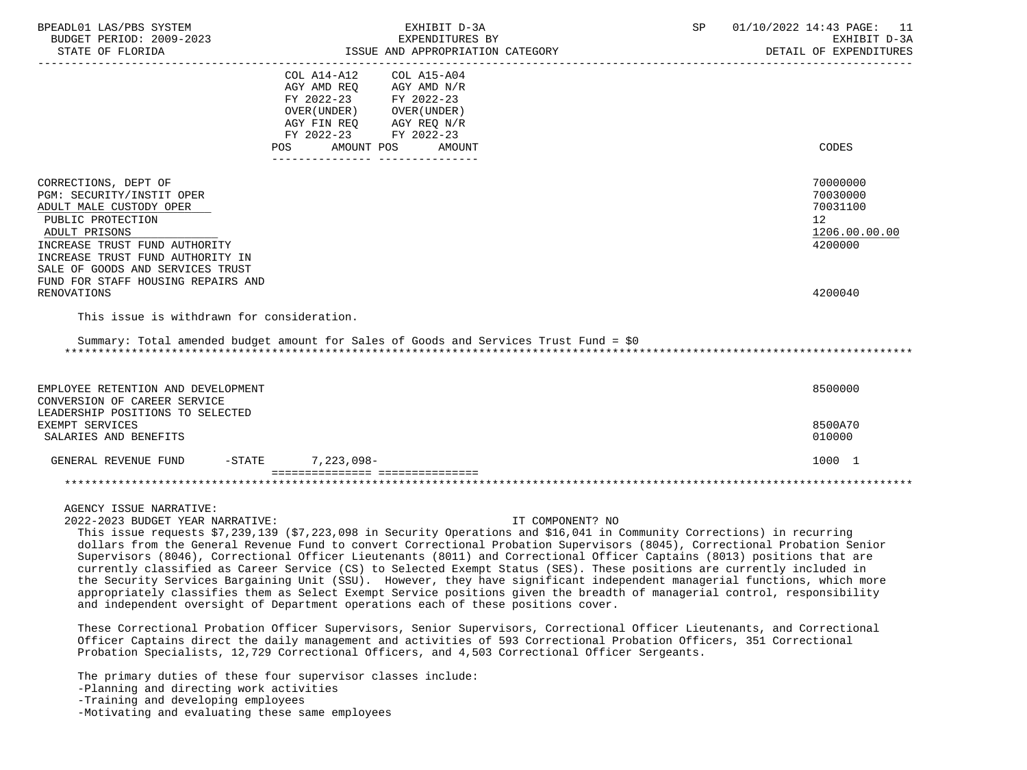| BPEADL01 LAS/PBS SYSTEM<br>BUDGET PERIOD: 2009-2023 |                                                            | EXHIBIT D-3A<br>EXPENDITURES BY                                                                                     | SP | 01/10/2022 14:43 PAGE: 11<br>EXHIBIT D-3A |
|-----------------------------------------------------|------------------------------------------------------------|---------------------------------------------------------------------------------------------------------------------|----|-------------------------------------------|
| STATE OF FLORIDA                                    |                                                            | ISSUE AND APPROPRIATION CATEGORY                                                                                    |    | DETAIL OF EXPENDITURES                    |
|                                                     | COL A14-A12                                                | COL A15-A04                                                                                                         |    |                                           |
|                                                     | AGY AMD REO                                                | AGY AMD N/R                                                                                                         |    |                                           |
|                                                     | FY 2022-23                                                 | FY 2022-23                                                                                                          |    |                                           |
|                                                     | OVER ( UNDER )                                             | OVER (UNDER )                                                                                                       |    |                                           |
|                                                     | AGY FIN REO                                                | AGY REQ N/R                                                                                                         |    |                                           |
|                                                     | FY 2022-23 FY 2022-23                                      |                                                                                                                     |    |                                           |
|                                                     | AMOUNT POS<br><b>POS</b>                                   | AMOUNT                                                                                                              |    | CODES                                     |
| CORRECTIONS, DEPT OF                                |                                                            |                                                                                                                     |    | 70000000                                  |
| PGM: SECURITY/INSTIT OPER                           |                                                            |                                                                                                                     |    | 70030000                                  |
| ADULT MALE CUSTODY OPER                             |                                                            |                                                                                                                     |    | 70031100                                  |
| PUBLIC PROTECTION                                   |                                                            |                                                                                                                     |    | 12                                        |
| ADULT PRISONS                                       |                                                            |                                                                                                                     |    | 1206.00.00.00                             |
| INCREASE TRUST FUND AUTHORITY                       |                                                            |                                                                                                                     |    | 4200000                                   |
| INCREASE TRUST FUND AUTHORITY IN                    |                                                            |                                                                                                                     |    |                                           |
| SALE OF GOODS AND SERVICES TRUST                    |                                                            |                                                                                                                     |    |                                           |
| FUND FOR STAFF HOUSING REPAIRS AND                  |                                                            |                                                                                                                     |    |                                           |
| RENOVATIONS                                         |                                                            |                                                                                                                     |    | 4200040                                   |
| This issue is withdrawn for consideration.          |                                                            |                                                                                                                     |    |                                           |
|                                                     |                                                            | Summary: Total amended budget amount for Sales of Goods and Services Trust Fund = \$0                               |    |                                           |
|                                                     |                                                            |                                                                                                                     |    |                                           |
| EMPLOYEE RETENTION AND DEVELOPMENT                  |                                                            |                                                                                                                     |    | 8500000                                   |
| CONVERSION OF CAREER SERVICE                        |                                                            |                                                                                                                     |    |                                           |
| LEADERSHIP POSITIONS TO SELECTED                    |                                                            |                                                                                                                     |    |                                           |
| EXEMPT SERVICES                                     |                                                            |                                                                                                                     |    | 8500A70                                   |
| SALARIES AND BENEFITS                               |                                                            |                                                                                                                     |    | 010000                                    |
| GENERAL REVENUE FUND                                | $-STATE$<br>7,223,098-<br>================================ |                                                                                                                     |    | 1000 1                                    |
|                                                     |                                                            |                                                                                                                     |    |                                           |
| AGENCY ISSUE NARRATIVE:                             |                                                            |                                                                                                                     |    |                                           |
| 2022-2023 BUDGET YEAR NARRATIVE:                    |                                                            | IT COMPONENT? NO                                                                                                    |    |                                           |
|                                                     |                                                            | This issue requests \$7,000,100 (\$7,000 in Security Operations and \$16,041 in Community Corrections) in requrring |    |                                           |

 This issue requests \$7,239,139 (\$7,223,098 in Security Operations and \$16,041 in Community Corrections) in recurring dollars from the General Revenue Fund to convert Correctional Probation Supervisors (8045), Correctional Probation Senior Supervisors (8046), Correctional Officer Lieutenants (8011) and Correctional Officer Captains (8013) positions that are currently classified as Career Service (CS) to Selected Exempt Status (SES). These positions are currently included in the Security Services Bargaining Unit (SSU). However, they have significant independent managerial functions, which more appropriately classifies them as Select Exempt Service positions given the breadth of managerial control, responsibility and independent oversight of Department operations each of these positions cover.

 These Correctional Probation Officer Supervisors, Senior Supervisors, Correctional Officer Lieutenants, and Correctional Officer Captains direct the daily management and activities of 593 Correctional Probation Officers, 351 Correctional Probation Specialists, 12,729 Correctional Officers, and 4,503 Correctional Officer Sergeants.

 The primary duties of these four supervisor classes include: -Planning and directing work activities -Training and developing employees -Motivating and evaluating these same employees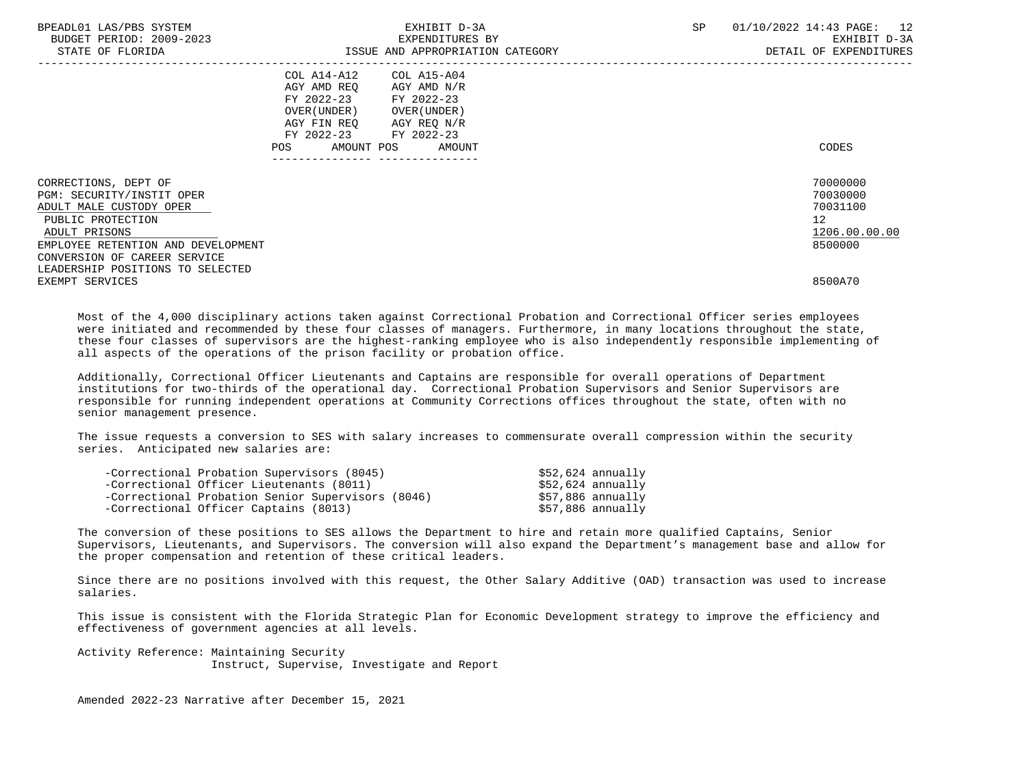| BPEADL01 LAS/PBS SYSTEM<br>BUDGET PERIOD: 2009-2023<br>STATE OF FLORIDA | EXHIBIT D-3A<br>EXPENDITURES BY<br>ISSUE AND APPROPRIATION CATEGORY | SP | 01/10/2022 14:43 PAGE:<br>12<br>EXHIBIT D-3A<br>DETAIL OF EXPENDITURES |
|-------------------------------------------------------------------------|---------------------------------------------------------------------|----|------------------------------------------------------------------------|
|                                                                         | COL A15-A04<br>COL A14-A12                                          |    |                                                                        |
|                                                                         | AGY AMD REO<br>AGY AMD N/R                                          |    |                                                                        |
|                                                                         | FY 2022-23<br>FY 2022-23                                            |    |                                                                        |
|                                                                         | OVER (UNDER) OVER (UNDER)                                           |    |                                                                        |
|                                                                         | AGY FIN REO AGY REO N/R                                             |    |                                                                        |
|                                                                         | FY 2022-23 FY 2022-23                                               |    |                                                                        |
|                                                                         | POS AMOUNT POS AMOUNT                                               |    | CODES                                                                  |
|                                                                         |                                                                     |    |                                                                        |
| CORRECTIONS, DEPT OF                                                    |                                                                     |    | 70000000                                                               |
| PGM: SECURITY/INSTIT OPER                                               |                                                                     |    | 70030000                                                               |
| ADULT MALE CUSTODY OPER                                                 |                                                                     |    | 70031100                                                               |
| PUBLIC PROTECTION                                                       |                                                                     |    | 12                                                                     |
| ADULT PRISONS                                                           |                                                                     |    | 1206.00.00.00                                                          |
| EMPLOYEE RETENTION AND DEVELOPMENT                                      |                                                                     |    | 8500000                                                                |
| CONVERSION OF CAREER SERVICE                                            |                                                                     |    |                                                                        |
| LEADERSHIP POSITIONS TO SELECTED                                        |                                                                     |    |                                                                        |
| EXEMPT SERVICES                                                         |                                                                     |    | 8500A70                                                                |

 Most of the 4,000 disciplinary actions taken against Correctional Probation and Correctional Officer series employees were initiated and recommended by these four classes of managers. Furthermore, in many locations throughout the state, these four classes of supervisors are the highest-ranking employee who is also independently responsible implementing of all aspects of the operations of the prison facility or probation office.

 Additionally, Correctional Officer Lieutenants and Captains are responsible for overall operations of Department institutions for two-thirds of the operational day. Correctional Probation Supervisors and Senior Supervisors are responsible for running independent operations at Community Corrections offices throughout the state, often with no senior management presence.

 The issue requests a conversion to SES with salary increases to commensurate overall compression within the security series. Anticipated new salaries are:

| -Correctional Probation Supervisors (8045)        | \$52,624 annually |
|---------------------------------------------------|-------------------|
| -Correctional Officer Lieutenants (8011)          | \$52,624 annually |
| -Correctional Probation Senior Supervisors (8046) | \$57,886 annually |
| -Correctional Officer Captains (8013)             | \$57,886 annually |

 The conversion of these positions to SES allows the Department to hire and retain more qualified Captains, Senior Supervisors, Lieutenants, and Supervisors. The conversion will also expand the Department's management base and allow for the proper compensation and retention of these critical leaders.

 Since there are no positions involved with this request, the Other Salary Additive (OAD) transaction was used to increase salaries.

 This issue is consistent with the Florida Strategic Plan for Economic Development strategy to improve the efficiency and effectiveness of government agencies at all levels.

 Activity Reference: Maintaining Security Instruct, Supervise, Investigate and Report

Amended 2022-23 Narrative after December 15, 2021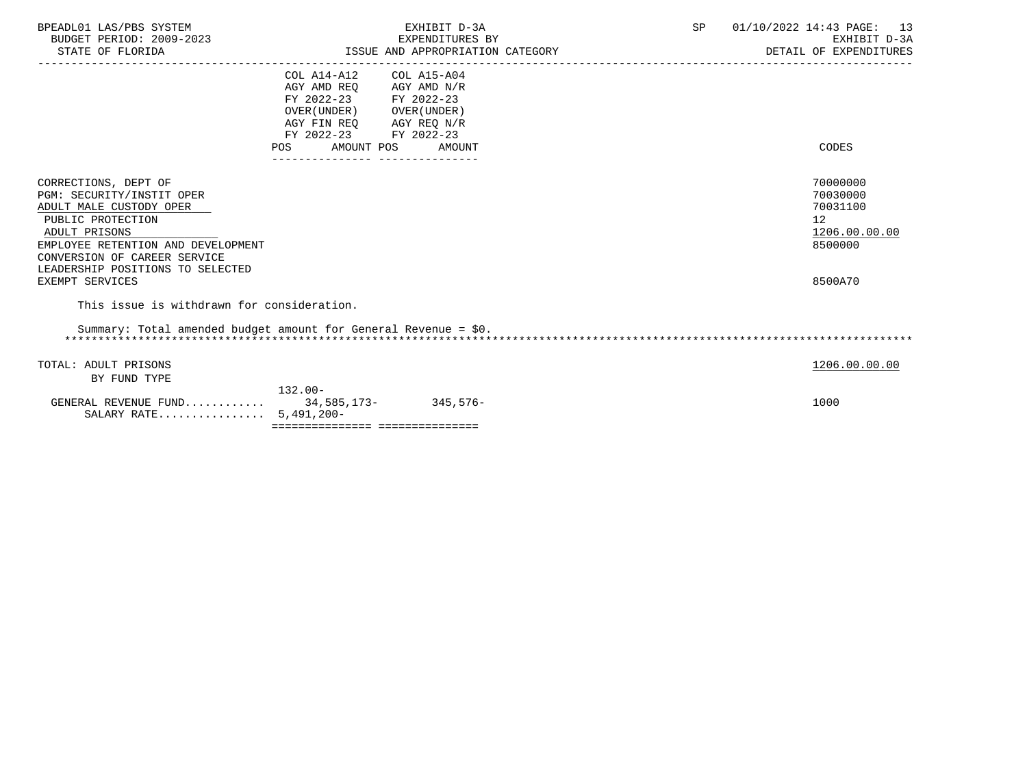| BPEADL01 LAS/PBS SYSTEM<br>BUDGET PERIOD: 2009-2023<br>STATE OF FLORIDA | ISSUE AND APPROPRIATION CATEGORY                   | EXHIBIT D-3A<br>EXPENDITURES BY | SP | 01/10/2022 14:43 PAGE: 13<br>EXHIBIT D-3A<br>DETAIL OF EXPENDITURES |
|-------------------------------------------------------------------------|----------------------------------------------------|---------------------------------|----|---------------------------------------------------------------------|
|                                                                         | COL A14-A12 COL A15-A04<br>AGY AMD REQ AGY AMD N/R |                                 |    |                                                                     |
|                                                                         | FY 2022-23 FY 2022-23                              |                                 |    |                                                                     |
|                                                                         | OVER (UNDER) OVER (UNDER)                          |                                 |    |                                                                     |
|                                                                         | AGY FIN REQ AGY REQ N/R                            |                                 |    |                                                                     |
|                                                                         | FY 2022-23 FY 2022-23<br>POS AMOUNT POS AMOUNT     |                                 |    | CODES                                                               |
|                                                                         |                                                    |                                 |    |                                                                     |
| CORRECTIONS, DEPT OF                                                    |                                                    |                                 |    | 70000000                                                            |
| PGM: SECURITY/INSTIT OPER                                               |                                                    |                                 |    | 70030000                                                            |
| ADULT MALE CUSTODY OPER                                                 |                                                    |                                 |    | 70031100                                                            |
| PUBLIC PROTECTION<br>ADULT PRISONS                                      |                                                    |                                 |    | 12                                                                  |
| EMPLOYEE RETENTION AND DEVELOPMENT                                      |                                                    |                                 |    | 1206.00.00.00<br>8500000                                            |
| CONVERSION OF CAREER SERVICE                                            |                                                    |                                 |    |                                                                     |
| LEADERSHIP POSITIONS TO SELECTED                                        |                                                    |                                 |    |                                                                     |
| EXEMPT SERVICES                                                         |                                                    |                                 |    | 8500A70                                                             |
| This issue is withdrawn for consideration.                              |                                                    |                                 |    |                                                                     |
| Summary: Total amended budget amount for General Revenue = $$0.$        |                                                    |                                 |    |                                                                     |
| TOTAL: ADULT PRISONS                                                    |                                                    |                                 |    | 1206.00.00.00                                                       |
| BY FUND TYPE                                                            |                                                    |                                 |    |                                                                     |
|                                                                         | $132.00 -$                                         |                                 |    |                                                                     |
| GENERAL REVENUE FUND 34,585,173-345,576-                                |                                                    |                                 |    | 1000                                                                |
| SALARY RATE 5,491,200-                                                  |                                                    |                                 |    |                                                                     |
|                                                                         | ================================                   |                                 |    |                                                                     |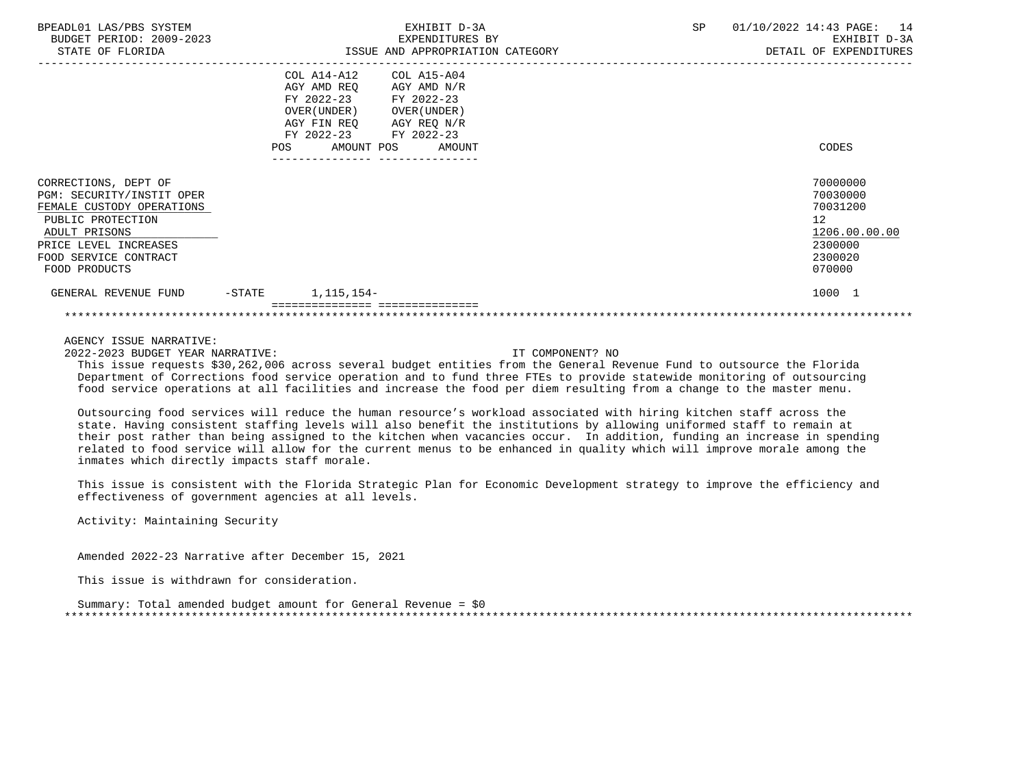| BPEADL01 LAS/PBS SYSTEM<br>BUDGET PERIOD: 2009-2023<br>STATE OF FLORIDA                                                                                                                 |                   | EXHIBIT D-3A<br>EXPENDITURES BY<br>ISSUE AND APPROPRIATION CATEGORY                                                                                                                                                     | SP | 01/10/2022 14:43 PAGE:<br>14<br>EXHIBIT D-3A<br>DETAIL OF EXPENDITURES                               |
|-----------------------------------------------------------------------------------------------------------------------------------------------------------------------------------------|-------------------|-------------------------------------------------------------------------------------------------------------------------------------------------------------------------------------------------------------------------|----|------------------------------------------------------------------------------------------------------|
|                                                                                                                                                                                         | POS.              | COL A14-A12<br>COL A15-A04<br>AGY AMD REQ<br>AGY AMD N/R<br>FY 2022-23 FY 2022-23<br>OVER (UNDER )<br>OVER ( UNDER )<br>AGY FIN REQ AGY REQ N/R<br>FY 2022-23<br>FY 2022-23<br>AMOUNT POS<br>AMOUNT<br>---------------- |    | CODES                                                                                                |
| CORRECTIONS, DEPT OF<br>PGM: SECURITY/INSTIT OPER<br>FEMALE CUSTODY OPERATIONS<br>PUBLIC PROTECTION<br>ADULT PRISONS<br>PRICE LEVEL INCREASES<br>FOOD SERVICE CONTRACT<br>FOOD PRODUCTS |                   |                                                                                                                                                                                                                         |    | 70000000<br>70030000<br>70031200<br>12 <sup>°</sup><br>1206.00.00.00<br>2300000<br>2300020<br>070000 |
| GENERAL REVENUE FUND                                                                                                                                                                    | $-\mathtt{STATE}$ | 1,115,154-                                                                                                                                                                                                              |    | 1000 1                                                                                               |
|                                                                                                                                                                                         |                   |                                                                                                                                                                                                                         |    |                                                                                                      |

2022-2023 BUDGET YEAR NARRATIVE: IT COMPONENT? NO

 This issue requests \$30,262,006 across several budget entities from the General Revenue Fund to outsource the Florida Department of Corrections food service operation and to fund three FTEs to provide statewide monitoring of outsourcing food service operations at all facilities and increase the food per diem resulting from a change to the master menu.

 Outsourcing food services will reduce the human resource's workload associated with hiring kitchen staff across the state. Having consistent staffing levels will also benefit the institutions by allowing uniformed staff to remain at their post rather than being assigned to the kitchen when vacancies occur. In addition, funding an increase in spending related to food service will allow for the current menus to be enhanced in quality which will improve morale among the inmates which directly impacts staff morale.

 This issue is consistent with the Florida Strategic Plan for Economic Development strategy to improve the efficiency and effectiveness of government agencies at all levels.

Activity: Maintaining Security

Amended 2022-23 Narrative after December 15, 2021

This issue is withdrawn for consideration.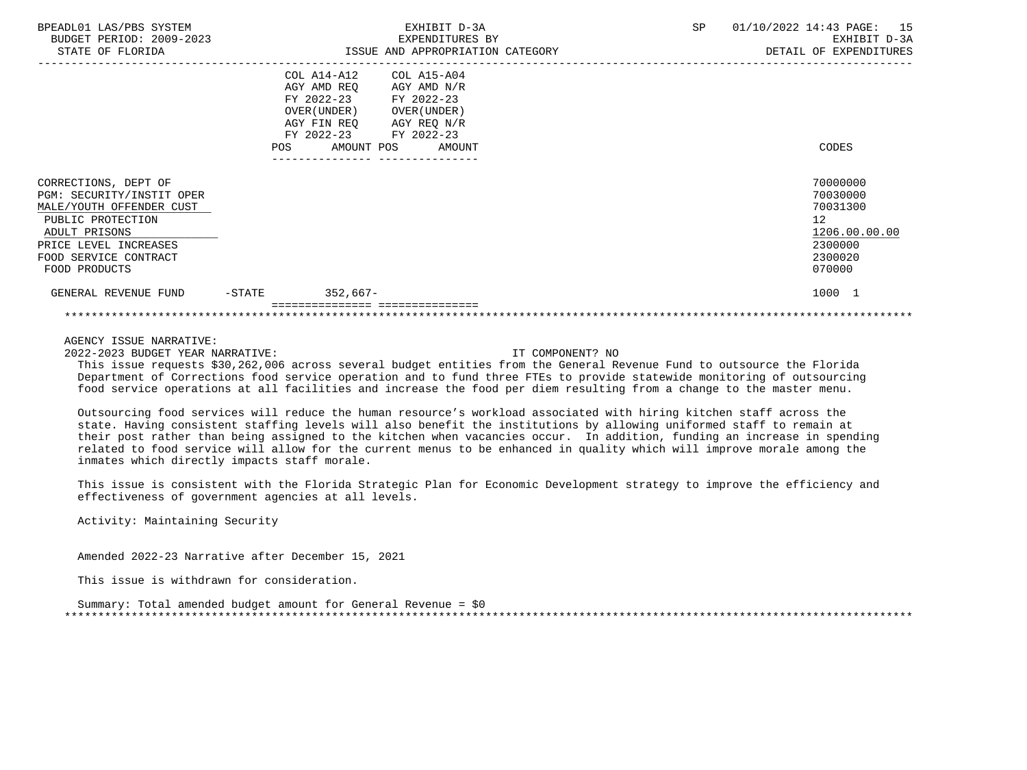| BPEADL01 LAS/PBS SYSTEM<br>BUDGET PERIOD: 2009-2023<br>STATE OF FLORIDA                                                                                                                |                                                                   | EXHIBIT D-3A<br>EXPENDITURES BY<br>ISSUE AND APPROPRIATION CATEGORY                                                                                        | SP | 01/10/2022 14:43 PAGE:<br>15<br>EXHIBIT D-3A<br>DETAIL OF EXPENDITURES                               |
|----------------------------------------------------------------------------------------------------------------------------------------------------------------------------------------|-------------------------------------------------------------------|------------------------------------------------------------------------------------------------------------------------------------------------------------|----|------------------------------------------------------------------------------------------------------|
|                                                                                                                                                                                        | COL A14-A12<br>AGY AMD REQ<br>OVER (UNDER )<br>FY 2022-23<br>POS. | COL A15-A04<br>AGY AMD N/R<br>FY 2022-23 FY 2022-23<br>OVER ( UNDER )<br>AGY FIN REQ AGY REQ N/R<br>FY 2022-23<br>AMOUNT POS<br>AMOUNT<br>---------------- |    | CODES                                                                                                |
| CORRECTIONS, DEPT OF<br>PGM: SECURITY/INSTIT OPER<br>MALE/YOUTH OFFENDER CUST<br>PUBLIC PROTECTION<br>ADULT PRISONS<br>PRICE LEVEL INCREASES<br>FOOD SERVICE CONTRACT<br>FOOD PRODUCTS |                                                                   |                                                                                                                                                            |    | 70000000<br>70030000<br>70031300<br>12 <sup>°</sup><br>1206.00.00.00<br>2300000<br>2300020<br>070000 |
| GENERAL REVENUE FUND                                                                                                                                                                   | $-$ STATE                                                         | 352,667-                                                                                                                                                   |    | 1000 1                                                                                               |
|                                                                                                                                                                                        |                                                                   |                                                                                                                                                            |    |                                                                                                      |

2022-2023 BUDGET YEAR NARRATIVE: IT COMPONENT? NO

 This issue requests \$30,262,006 across several budget entities from the General Revenue Fund to outsource the Florida Department of Corrections food service operation and to fund three FTEs to provide statewide monitoring of outsourcing food service operations at all facilities and increase the food per diem resulting from a change to the master menu.

 Outsourcing food services will reduce the human resource's workload associated with hiring kitchen staff across the state. Having consistent staffing levels will also benefit the institutions by allowing uniformed staff to remain at their post rather than being assigned to the kitchen when vacancies occur. In addition, funding an increase in spending related to food service will allow for the current menus to be enhanced in quality which will improve morale among the inmates which directly impacts staff morale.

 This issue is consistent with the Florida Strategic Plan for Economic Development strategy to improve the efficiency and effectiveness of government agencies at all levels.

Activity: Maintaining Security

Amended 2022-23 Narrative after December 15, 2021

This issue is withdrawn for consideration.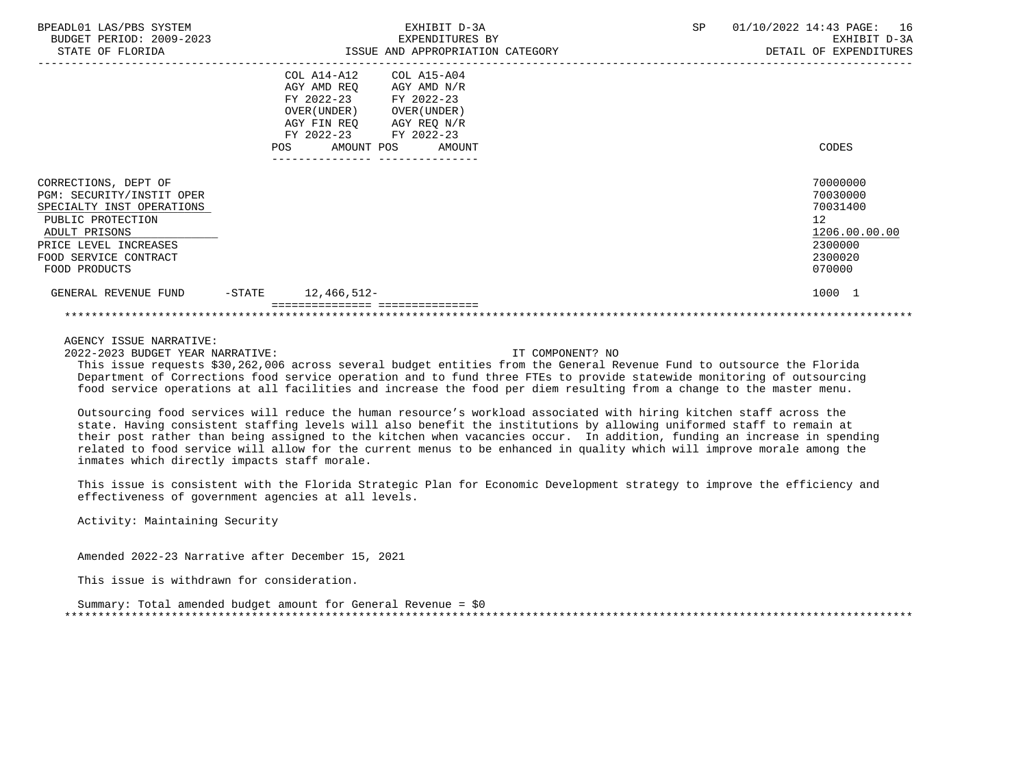| BPEADL01 LAS/PBS SYSTEM<br>BUDGET PERIOD: 2009-2023<br>STATE OF FLORIDA                                                                                                                 |        | EXHIBIT D-3A<br>EXPENDITURES BY<br>ISSUE AND APPROPRIATION CATEGORY                                                                                                                                                    | SP | 01/10/2022 14:43 PAGE:<br>16<br>EXHIBIT D-3A<br>DETAIL OF EXPENDITURES                  |
|-----------------------------------------------------------------------------------------------------------------------------------------------------------------------------------------|--------|------------------------------------------------------------------------------------------------------------------------------------------------------------------------------------------------------------------------|----|-----------------------------------------------------------------------------------------|
|                                                                                                                                                                                         | POS    | COL A14-A12<br>COL A15-A04<br>AGY AMD REQ<br>AGY AMD N/R<br>FY 2022-23 FY 2022-23<br>OVER (UNDER )<br>OVER ( UNDER )<br>AGY REQ N/R<br>AGY FIN REO<br>FY 2022-23 FY 2022-23<br>AMOUNT POS<br>AMOUNT<br>--------------- |    | CODES                                                                                   |
| CORRECTIONS, DEPT OF<br>PGM: SECURITY/INSTIT OPER<br>SPECIALTY INST OPERATIONS<br>PUBLIC PROTECTION<br>ADULT PRISONS<br>PRICE LEVEL INCREASES<br>FOOD SERVICE CONTRACT<br>FOOD PRODUCTS |        |                                                                                                                                                                                                                        |    | 70000000<br>70030000<br>70031400<br>12<br>1206.00.00.00<br>2300000<br>2300020<br>070000 |
| GENERAL REVENUE FUND                                                                                                                                                                    | -STATE | 12,466,512-                                                                                                                                                                                                            |    | 1000 1                                                                                  |
|                                                                                                                                                                                         |        |                                                                                                                                                                                                                        |    |                                                                                         |

2022-2023 BUDGET YEAR NARRATIVE: IT COMPONENT? NO

 This issue requests \$30,262,006 across several budget entities from the General Revenue Fund to outsource the Florida Department of Corrections food service operation and to fund three FTEs to provide statewide monitoring of outsourcing food service operations at all facilities and increase the food per diem resulting from a change to the master menu.

 Outsourcing food services will reduce the human resource's workload associated with hiring kitchen staff across the state. Having consistent staffing levels will also benefit the institutions by allowing uniformed staff to remain at their post rather than being assigned to the kitchen when vacancies occur. In addition, funding an increase in spending related to food service will allow for the current menus to be enhanced in quality which will improve morale among the inmates which directly impacts staff morale.

 This issue is consistent with the Florida Strategic Plan for Economic Development strategy to improve the efficiency and effectiveness of government agencies at all levels.

Activity: Maintaining Security

Amended 2022-23 Narrative after December 15, 2021

This issue is withdrawn for consideration.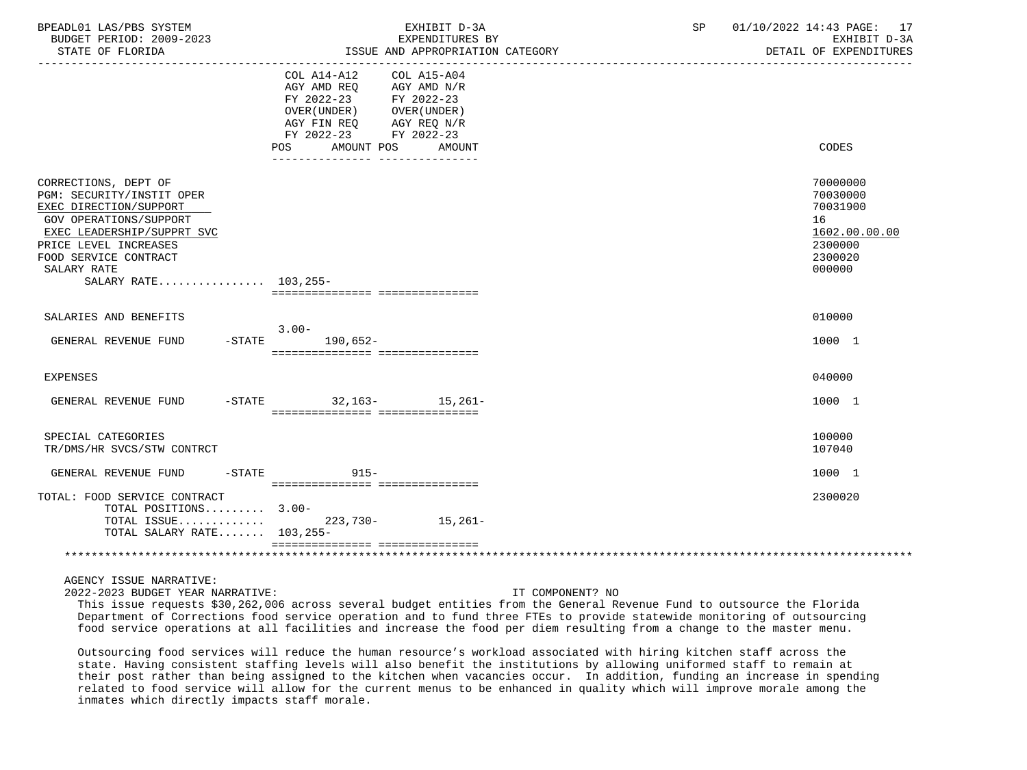| BPEADL01 LAS/PBS SYSTEM<br>BUDGET PERIOD: 2009-2023<br>STATE OF FLORIDA                                                                                                                                                      | EXHIBIT D-3A<br>EXPENDITURES BY<br>ISSUE AND APPROPRIATION CATEGORY                                                                                                                                                                    | SP | 01/10/2022 14:43 PAGE: 17<br>EXHIBIT D-3A<br>DETAIL OF EXPENDITURES                     |
|------------------------------------------------------------------------------------------------------------------------------------------------------------------------------------------------------------------------------|----------------------------------------------------------------------------------------------------------------------------------------------------------------------------------------------------------------------------------------|----|-----------------------------------------------------------------------------------------|
|                                                                                                                                                                                                                              | COL A14-A12<br>COL A15-A04<br>AGY AMD REO<br>AGY AMD N/R<br>FY 2022-23 FY 2022-23<br>OVER(UNDER) OVER(UNDER)<br>AGY REQ N/R<br>AGY FIN REO<br>FY 2022-23 FY 2022-23<br>POS AMOUNT POS AMOUNT<br>______________________________________ |    | CODES                                                                                   |
| CORRECTIONS, DEPT OF<br>PGM: SECURITY/INSTIT OPER<br>EXEC DIRECTION/SUPPORT<br>GOV OPERATIONS/SUPPORT<br>EXEC LEADERSHIP/SUPPRT SVC<br>PRICE LEVEL INCREASES<br>FOOD SERVICE CONTRACT<br>SALARY RATE<br>SALARY RATE 103.255- | =================================                                                                                                                                                                                                      |    | 70000000<br>70030000<br>70031900<br>16<br>1602.00.00.00<br>2300000<br>2300020<br>000000 |
| SALARIES AND BENEFITS                                                                                                                                                                                                        |                                                                                                                                                                                                                                        |    | 010000                                                                                  |
| GENERAL REVENUE FUND                                                                                                                                                                                                         | $3.00-$<br>-STATE 190,652-<br>================================                                                                                                                                                                         |    | 1000 1                                                                                  |
| <b>EXPENSES</b>                                                                                                                                                                                                              |                                                                                                                                                                                                                                        |    | 040000                                                                                  |
| GENERAL REVENUE FUND                                                                                                                                                                                                         | $-STATE$ 32.163- 15.261-<br>=================================                                                                                                                                                                          |    | 1000 1                                                                                  |
| SPECIAL CATEGORIES<br>TR/DMS/HR SVCS/STW CONTRCT                                                                                                                                                                             |                                                                                                                                                                                                                                        |    | 100000<br>107040                                                                        |
| GENERAL REVENUE FUND -STATE 915-                                                                                                                                                                                             |                                                                                                                                                                                                                                        |    | 1000 1                                                                                  |
| TOTAL: FOOD SERVICE CONTRACT<br>TOTAL POSITIONS 3.00-<br>TOTAL ISSUE<br>TOTAL SALARY RATE 103,255-                                                                                                                           | ___________________________________<br>223,730- 15,261-                                                                                                                                                                                |    | 2300020                                                                                 |
|                                                                                                                                                                                                                              | =================================                                                                                                                                                                                                      |    |                                                                                         |

2022-2023 BUDGET YEAR NARRATIVE: IT COMPONENT? NO

 This issue requests \$30,262,006 across several budget entities from the General Revenue Fund to outsource the Florida Department of Corrections food service operation and to fund three FTEs to provide statewide monitoring of outsourcing food service operations at all facilities and increase the food per diem resulting from a change to the master menu.

 Outsourcing food services will reduce the human resource's workload associated with hiring kitchen staff across the state. Having consistent staffing levels will also benefit the institutions by allowing uniformed staff to remain at their post rather than being assigned to the kitchen when vacancies occur. In addition, funding an increase in spending related to food service will allow for the current menus to be enhanced in quality which will improve morale among the inmates which directly impacts staff morale.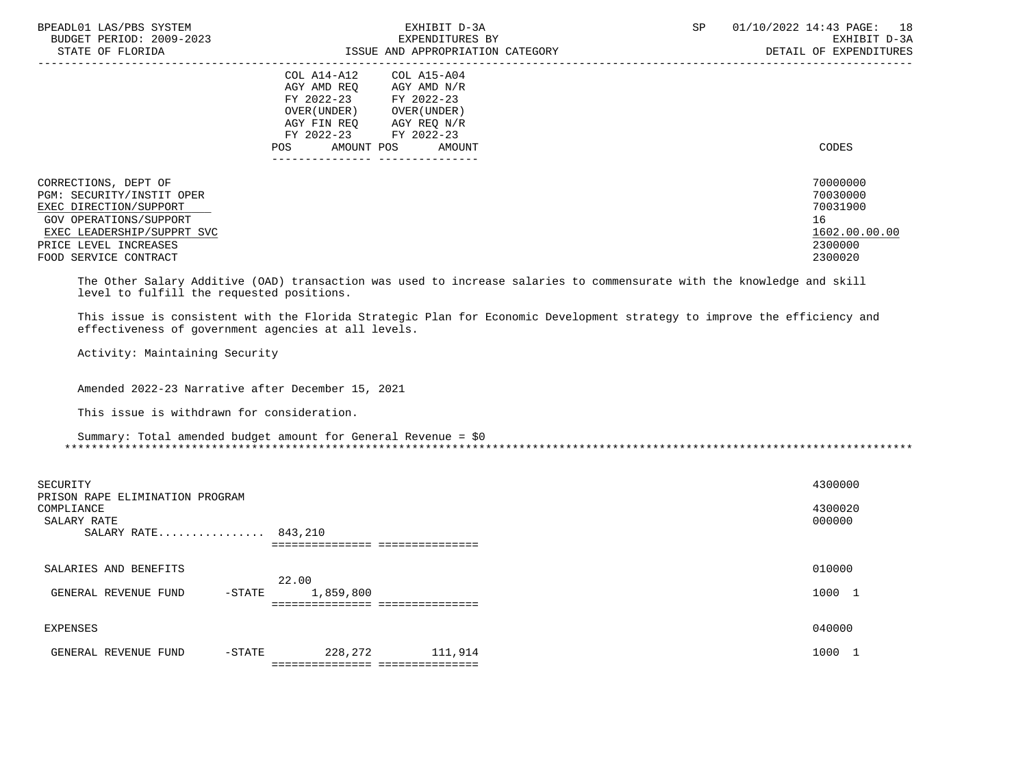| BPEADL01 LAS/PBS SYSTEM<br>BUDGET PERIOD: 2009-2023<br>STATE OF FLORIDA                                                                                                               | EXHIBIT D-3A<br>EXPENDITURES BY                                                                                                                                                                | ISSUE AND APPROPRIATION CATEGORY                                                                                                                                                                                                                   | SP | 01/10/2022 14:43 PAGE:<br>18<br>EXHIBIT D-3A<br>DETAIL OF EXPENDITURES        |
|---------------------------------------------------------------------------------------------------------------------------------------------------------------------------------------|------------------------------------------------------------------------------------------------------------------------------------------------------------------------------------------------|----------------------------------------------------------------------------------------------------------------------------------------------------------------------------------------------------------------------------------------------------|----|-------------------------------------------------------------------------------|
|                                                                                                                                                                                       | COL A14-A12<br>COL A15-A04<br>AGY AMD REQ<br>AGY AMD N/R<br>FY 2022-23 FY 2022-23<br>OVER (UNDER) OVER (UNDER)<br>AGY FIN REQ AGY REQ N/R<br>FY 2022-23 FY 2022-23<br><b>POS</b><br>AMOUNT POS | AMOUNT                                                                                                                                                                                                                                             |    | CODES                                                                         |
| CORRECTIONS, DEPT OF<br>PGM: SECURITY/INSTIT OPER<br>EXEC DIRECTION/SUPPORT<br>GOV OPERATIONS/SUPPORT<br>EXEC LEADERSHIP/SUPPRT SVC<br>PRICE LEVEL INCREASES<br>FOOD SERVICE CONTRACT |                                                                                                                                                                                                |                                                                                                                                                                                                                                                    |    | 70000000<br>70030000<br>70031900<br>16<br>1602.00.00.00<br>2300000<br>2300020 |
| level to fulfill the requested positions.<br>effectiveness of government agencies at all levels.<br>Activity: Maintaining Security                                                    |                                                                                                                                                                                                | The Other Salary Additive (OAD) transaction was used to increase salaries to commensurate with the knowledge and skill<br>This issue is consistent with the Florida Strategic Plan for Economic Development strategy to improve the efficiency and |    |                                                                               |
| Amended 2022-23 Narrative after December 15, 2021<br>This issue is withdrawn for consideration.                                                                                       | Summary: Total amended budget amount for General Revenue = $$0$                                                                                                                                |                                                                                                                                                                                                                                                    |    |                                                                               |
|                                                                                                                                                                                       |                                                                                                                                                                                                |                                                                                                                                                                                                                                                    |    |                                                                               |
| SECURITY                                                                                                                                                                              |                                                                                                                                                                                                |                                                                                                                                                                                                                                                    |    | 4300000                                                                       |
| PRISON RAPE ELIMINATION PROGRAM<br>COMPLIANCE<br>SALARY RATE<br>SALARY RATE 843,210                                                                                                   | =================================                                                                                                                                                              |                                                                                                                                                                                                                                                    |    | 4300020<br>000000                                                             |
| SALARIES AND BENEFITS                                                                                                                                                                 |                                                                                                                                                                                                |                                                                                                                                                                                                                                                    |    | 010000                                                                        |
| $-$ STATE<br>GENERAL REVENUE FUND                                                                                                                                                     | 22.00<br>1,859,800<br>================================                                                                                                                                         |                                                                                                                                                                                                                                                    |    | 1000 1                                                                        |
| <b>EXPENSES</b>                                                                                                                                                                       |                                                                                                                                                                                                |                                                                                                                                                                                                                                                    |    | 040000                                                                        |
| $-$ STATE<br>GENERAL REVENUE FUND                                                                                                                                                     | 228,272<br>================================                                                                                                                                                    | 111,914                                                                                                                                                                                                                                            |    | 1000 1                                                                        |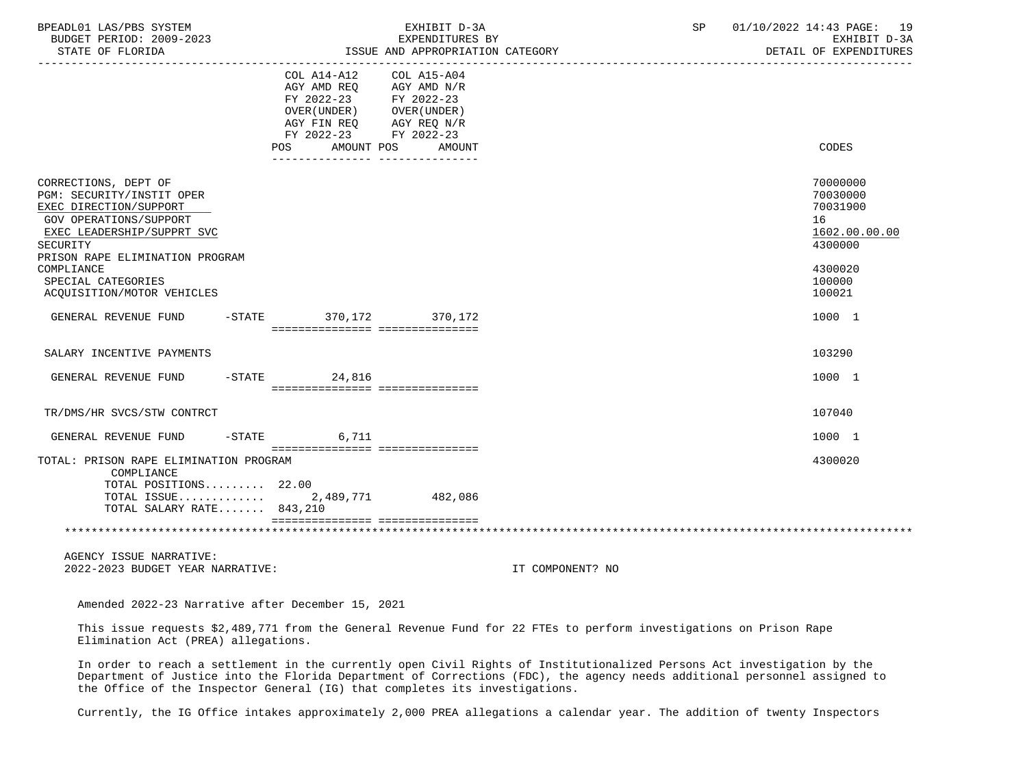| BPEADL01 LAS/PBS SYSTEM<br>BUDGET PERIOD: 2009-2023                                                                                                                                                                                                  |                                                                                                                                               | EXHIBIT D-3A<br>EXPENDITURES BY                     |                  | SP | 01/10/2022 14:43 PAGE: 19<br>EXHIBIT D-3A                                                         |
|------------------------------------------------------------------------------------------------------------------------------------------------------------------------------------------------------------------------------------------------------|-----------------------------------------------------------------------------------------------------------------------------------------------|-----------------------------------------------------|------------------|----|---------------------------------------------------------------------------------------------------|
| STATE OF FLORIDA                                                                                                                                                                                                                                     | ------------------------------------                                                                                                          | ISSUE AND APPROPRIATION CATEGORY                    |                  |    | DETAIL OF EXPENDITURES                                                                            |
|                                                                                                                                                                                                                                                      | COL A14-A12<br>AGY AMD REO<br>FY 2022-23 FY 2022-23<br>OVER (UNDER) OVER (UNDER)<br>AGY FIN REQ<br>FY 2022-23 FY 2022-23<br>AMOUNT POS<br>POS | COL A15-A04<br>AGY AMD N/R<br>AGY REQ N/R<br>AMOUNT |                  |    | CODES                                                                                             |
|                                                                                                                                                                                                                                                      | ______________________________________                                                                                                        |                                                     |                  |    |                                                                                                   |
| CORRECTIONS, DEPT OF<br>PGM: SECURITY/INSTIT OPER<br>EXEC DIRECTION/SUPPORT<br>GOV OPERATIONS/SUPPORT<br>EXEC LEADERSHIP/SUPPRT SVC<br>SECURITY<br>PRISON RAPE ELIMINATION PROGRAM<br>COMPLIANCE<br>SPECIAL CATEGORIES<br>ACQUISITION/MOTOR VEHICLES |                                                                                                                                               |                                                     |                  |    | 70000000<br>70030000<br>70031900<br>16<br>1602.00.00.00<br>4300000<br>4300020<br>100000<br>100021 |
| GENERAL REVENUE FUND                                                                                                                                                                                                                                 | -STATE 370,172 370,172<br>================================                                                                                    |                                                     |                  |    | 1000 1                                                                                            |
| SALARY INCENTIVE PAYMENTS                                                                                                                                                                                                                            |                                                                                                                                               |                                                     |                  |    | 103290                                                                                            |
| GENERAL REVENUE FUND                                                                                                                                                                                                                                 | $-STATE$ 24,816<br>=================================                                                                                          |                                                     |                  |    | 1000 1                                                                                            |
| TR/DMS/HR SVCS/STW CONTRCT                                                                                                                                                                                                                           |                                                                                                                                               |                                                     |                  |    | 107040                                                                                            |
| GENERAL REVENUE FUND                                                                                                                                                                                                                                 | $-$ STATE<br>6,711                                                                                                                            |                                                     |                  |    | 1000 1                                                                                            |
| TOTAL: PRISON RAPE ELIMINATION PROGRAM<br>COMPLIANCE<br>TOTAL POSITIONS 22.00<br>TOTAL ISSUE<br>TOTAL SALARY RATE 843,210                                                                                                                            | ================================<br>2,489,771                                                                                                 | 482,086                                             |                  |    | 4300020                                                                                           |
|                                                                                                                                                                                                                                                      |                                                                                                                                               |                                                     |                  |    |                                                                                                   |
|                                                                                                                                                                                                                                                      |                                                                                                                                               |                                                     |                  |    |                                                                                                   |
| AGENCY ISSUE NARRATIVE:<br>2022-2023 BUDGET YEAR NARRATIVE:                                                                                                                                                                                          |                                                                                                                                               |                                                     | IT COMPONENT? NO |    |                                                                                                   |

Amended 2022-23 Narrative after December 15, 2021

 This issue requests \$2,489,771 from the General Revenue Fund for 22 FTEs to perform investigations on Prison Rape Elimination Act (PREA) allegations.

 In order to reach a settlement in the currently open Civil Rights of Institutionalized Persons Act investigation by the Department of Justice into the Florida Department of Corrections (FDC), the agency needs additional personnel assigned to the Office of the Inspector General (IG) that completes its investigations.

Currently, the IG Office intakes approximately 2,000 PREA allegations a calendar year. The addition of twenty Inspectors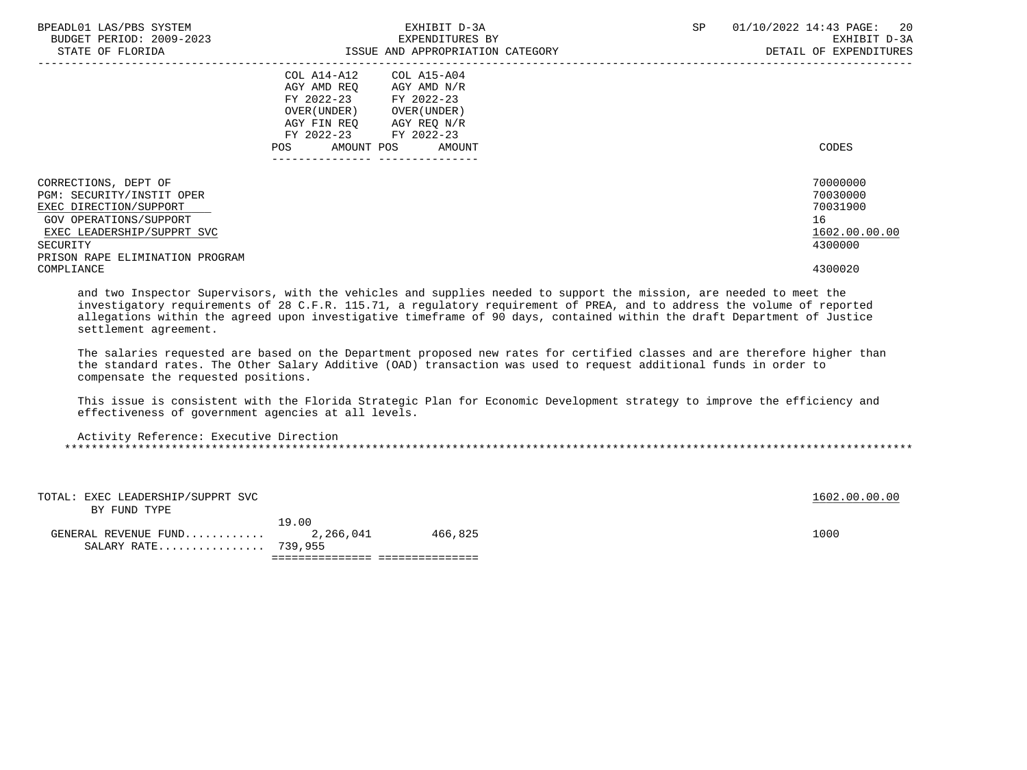| BPEADL01 LAS/PBS SYSTEM<br>BUDGET PERIOD: 2009-2023<br>STATE OF FLORIDA                                                                                                            | EXHIBIT D-3A<br>EXPENDITURES BY<br>ISSUE AND APPROPRIATION CATEGORY                                                                                                                                                | SP | 01/10/2022 14:43 PAGE:<br>20<br>EXHIBIT D-3A<br>DETAIL OF EXPENDITURES |
|------------------------------------------------------------------------------------------------------------------------------------------------------------------------------------|--------------------------------------------------------------------------------------------------------------------------------------------------------------------------------------------------------------------|----|------------------------------------------------------------------------|
|                                                                                                                                                                                    | COL A14-A12<br>COL A15-A04<br>AGY AMD REO<br>AGY AMD N/R<br>FY 2022-23 FY 2022-23<br>OVER ( UNDER )<br>OVER ( UNDER )<br>AGY FIN REO<br>AGY REQ N/R<br>FY 2022-23 FY 2022-23<br>AMOUNT POS<br>AMOUNT<br><b>POS</b> |    | CODES                                                                  |
| CORRECTIONS, DEPT OF<br>PGM: SECURITY/INSTIT OPER<br>EXEC DIRECTION/SUPPORT<br>GOV OPERATIONS/SUPPORT<br>EXEC LEADERSHIP/SUPPRT SVC<br>SECURITY<br>PRISON RAPE ELIMINATION PROGRAM |                                                                                                                                                                                                                    |    | 70000000<br>70030000<br>70031900<br>16<br>1602.00.00.00<br>4300000     |
| COMPLIANCE                                                                                                                                                                         |                                                                                                                                                                                                                    |    | 4300020                                                                |

 and two Inspector Supervisors, with the vehicles and supplies needed to support the mission, are needed to meet the investigatory requirements of 28 C.F.R. 115.71, a regulatory requirement of PREA, and to address the volume of reported allegations within the agreed upon investigative timeframe of 90 days, contained within the draft Department of Justice settlement agreement.

 The salaries requested are based on the Department proposed new rates for certified classes and are therefore higher than the standard rates. The Other Salary Additive (OAD) transaction was used to request additional funds in order to compensate the requested positions.

 This issue is consistent with the Florida Strategic Plan for Economic Development strategy to improve the efficiency and effectiveness of government agencies at all levels.

| Activity Reference: Executive Direction |  |
|-----------------------------------------|--|
|                                         |  |

| GENERAL REVENUE FUND $2,266,041$<br>SALARY RATE 739,955 |       | 466,825 | 1000 |               |
|---------------------------------------------------------|-------|---------|------|---------------|
| BY FUND TYPE                                            | 19.00 |         |      |               |
| TOTAL: EXEC LEADERSHIP/SUPPRT SVC                       |       |         |      | 1602.00.00.00 |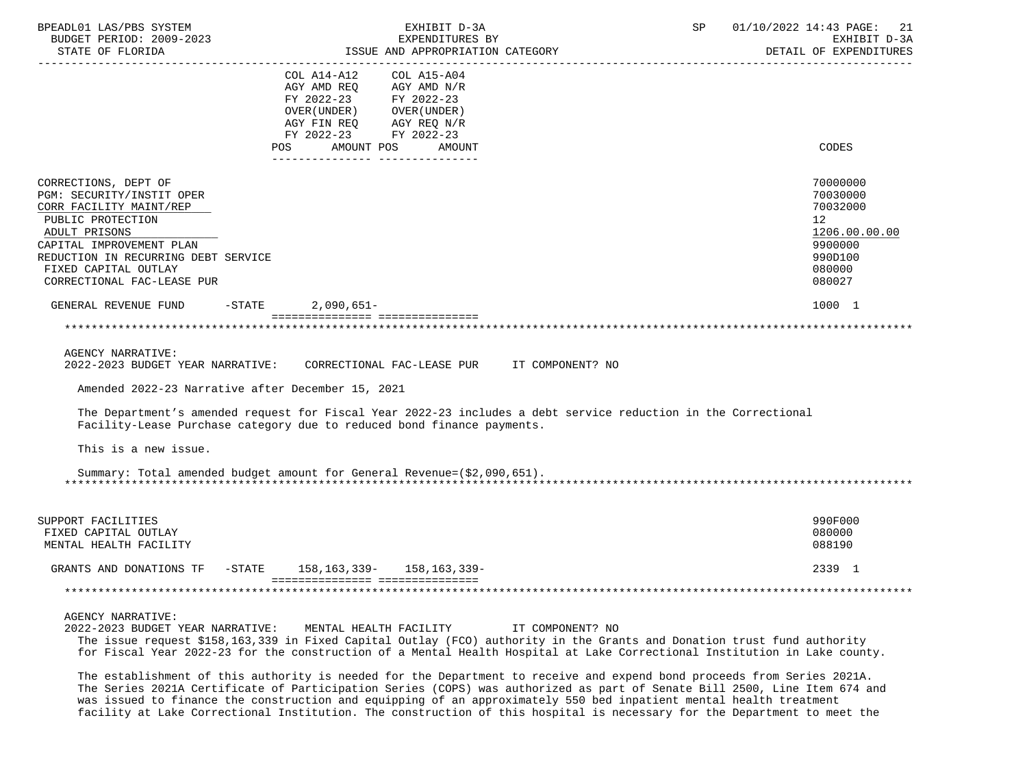| BPEADL01 LAS/PBS SYSTEM<br>BUDGET PERIOD: 2009-2023<br>STATE OF FLORIDA                                                                                                                                                                     | EXHIBIT D-3A<br>EXPENDITURES BY<br>ISSUE AND APPROPRIATION CATEGORY                                                                                                                                                                                                                                | 01/10/2022 14:43 PAGE: 21<br>SP<br>EXHIBIT D-3A<br>DETAIL OF EXPENDITURES                                      |
|---------------------------------------------------------------------------------------------------------------------------------------------------------------------------------------------------------------------------------------------|----------------------------------------------------------------------------------------------------------------------------------------------------------------------------------------------------------------------------------------------------------------------------------------------------|----------------------------------------------------------------------------------------------------------------|
|                                                                                                                                                                                                                                             | ------------------------------------<br>COL A14-A12<br>COL A15-A04<br>AGY AMD REQ AGY AMD N/R<br>FY 2022-23<br>FY 2022-23<br>OVER (UNDER)<br>OVER (UNDER )<br>AGY FIN REQ<br>AGY REQ N/R<br>FY 2022-23 FY 2022-23                                                                                  |                                                                                                                |
|                                                                                                                                                                                                                                             | POS<br>AMOUNT POS<br>AMOUNT<br>________________ _____________                                                                                                                                                                                                                                      | CODES                                                                                                          |
| CORRECTIONS, DEPT OF<br>PGM: SECURITY/INSTIT OPER<br>CORR FACILITY MAINT/REP<br>PUBLIC PROTECTION<br>ADULT PRISONS<br>CAPITAL IMPROVEMENT PLAN<br>REDUCTION IN RECURRING DEBT SERVICE<br>FIXED CAPITAL OUTLAY<br>CORRECTIONAL FAC-LEASE PUR |                                                                                                                                                                                                                                                                                                    | 70000000<br>70030000<br>70032000<br>12 <sup>°</sup><br>1206.00.00.00<br>9900000<br>990D100<br>080000<br>080027 |
| GENERAL REVENUE FUND                                                                                                                                                                                                                        | $-$ STATE<br>$2,090,651-$                                                                                                                                                                                                                                                                          | 1000 1                                                                                                         |
| <b>AGENCY NARRATIVE:</b><br>2022-2023 BUDGET YEAR NARRATIVE:<br>Amended 2022-23 Narrative after December 15, 2021                                                                                                                           | CORRECTIONAL FAC-LEASE PUR IT COMPONENT? NO                                                                                                                                                                                                                                                        |                                                                                                                |
| This is a new issue.                                                                                                                                                                                                                        | The Department's amended request for Fiscal Year 2022-23 includes a debt service reduction in the Correctional<br>Facility-Lease Purchase category due to reduced bond finance payments.                                                                                                           |                                                                                                                |
|                                                                                                                                                                                                                                             | Summary: Total amended budget amount for General Revenue=(\$2,090,651).                                                                                                                                                                                                                            |                                                                                                                |
| SUPPORT FACILITIES<br>FIXED CAPITAL OUTLAY<br>MENTAL HEALTH FACILITY                                                                                                                                                                        |                                                                                                                                                                                                                                                                                                    | 990F000<br>080000<br>088190                                                                                    |
| GRANTS AND DONATIONS TF                                                                                                                                                                                                                     | -STATE 158,163,339- 158,163,339-                                                                                                                                                                                                                                                                   | 2339 1                                                                                                         |
|                                                                                                                                                                                                                                             | ==================================                                                                                                                                                                                                                                                                 |                                                                                                                |
| AGENCY NARRATIVE:<br>2022-2023 BUDGET YEAR NARRATIVE:                                                                                                                                                                                       | MENTAL HEALTH FACILITY<br>IT COMPONENT? NO<br>The issue request \$158,163,339 in Fixed Capital Outlay (FCO) authority in the Grants and Donation trust fund authority<br>for Fiscal Year 2022-23 for the construction of a Mental Health Hospital at Lake Correctional Institution in Lake county. |                                                                                                                |

 The establishment of this authority is needed for the Department to receive and expend bond proceeds from Series 2021A. The Series 2021A Certificate of Participation Series (COPS) was authorized as part of Senate Bill 2500, Line Item 674 and was issued to finance the construction and equipping of an approximately 550 bed inpatient mental health treatment facility at Lake Correctional Institution. The construction of this hospital is necessary for the Department to meet the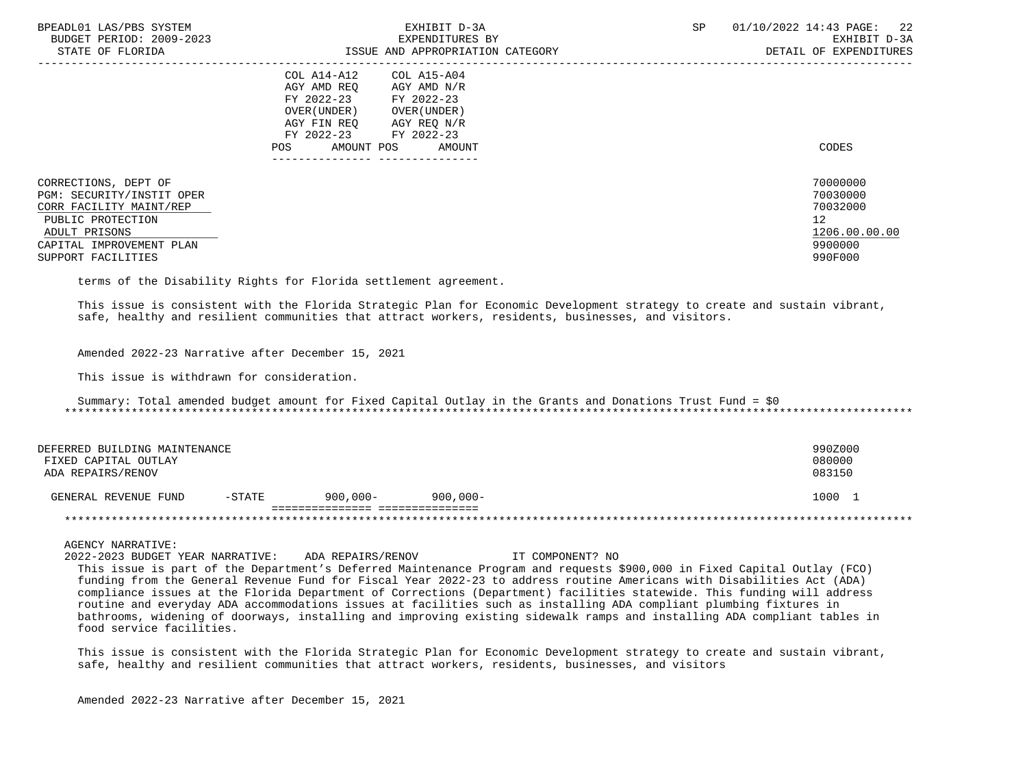| BPEADL01 LAS/PBS SYSTEM<br>BUDGET PERIOD: 2009-2023<br>STATE OF FLORIDA                                                                                              | EXHIBIT D-3A<br>EXPENDITURES BY<br>ISSUE AND APPROPRIATION CATEGORY                                                                                                                                    | SP<br>$01/10/2022$ 14:43 PAGE: 22<br>EXHIBIT D-3A<br>DETAIL OF EXPENDITURES                |
|----------------------------------------------------------------------------------------------------------------------------------------------------------------------|--------------------------------------------------------------------------------------------------------------------------------------------------------------------------------------------------------|--------------------------------------------------------------------------------------------|
|                                                                                                                                                                      | COL A14-A12<br>COL A15-A04<br>AGY AMD REO<br>AGY AMD N/R<br>FY 2022-23 FY 2022-23<br>OVER (UNDER )<br>OVER (UNDER )<br>AGY FIN REO<br>AGY REQ N/R<br>FY 2022-23 FY 2022-23<br>AMOUNT POS AMOUNT<br>POS | CODES                                                                                      |
| CORRECTIONS, DEPT OF<br>PGM: SECURITY/INSTIT OPER<br>CORR FACILITY MAINT/REP<br>PUBLIC PROTECTION<br>ADULT PRISONS<br>CAPITAL IMPROVEMENT PLAN<br>SUPPORT FACILITIES |                                                                                                                                                                                                        | 70000000<br>70030000<br>70032000<br>12 <sup>°</sup><br>1206.00.00.00<br>9900000<br>990F000 |

terms of the Disability Rights for Florida settlement agreement.

 This issue is consistent with the Florida Strategic Plan for Economic Development strategy to create and sustain vibrant, safe, healthy and resilient communities that attract workers, residents, businesses, and visitors.

Amended 2022-23 Narrative after December 15, 2021

This issue is withdrawn for consideration.

 Summary: Total amended budget amount for Fixed Capital Outlay in the Grants and Donations Trust Fund = \$0 \*\*\*\*\*\*\*\*\*\*\*\*\*\*\*\*\*\*\*\*\*\*\*\*\*\*\*\*\*\*\*\*\*\*\*\*\*\*\*\*\*\*\*\*\*\*\*\*\*\*\*\*\*\*\*\*\*\*\*\*\*\*\*\*\*\*\*\*\*\*\*\*\*\*\*\*\*\*\*\*\*\*\*\*\*\*\*\*\*\*\*\*\*\*\*\*\*\*\*\*\*\*\*\*\*\*\*\*\*\*\*\*\*\*\*\*\*\*\*\*\*\*\*\*\*\*\*

| DEFERRED BUILDING MAINTENANCE |           |          |             | 990Z000 |
|-------------------------------|-----------|----------|-------------|---------|
| FIXED CAPITAL OUTLAY          |           |          |             | 080000  |
| ADA REPAIRS/RENOV             |           |          |             | 083150  |
|                               |           |          |             |         |
| GENERAL REVENUE FUND          | $-$ STATE | 900,000- | $900.000 -$ | 1000    |
|                               |           |          |             |         |
|                               |           |          |             |         |

AGENCY NARRATIVE:

 2022-2023 BUDGET YEAR NARRATIVE: ADA REPAIRS/RENOV IT COMPONENT? NO This issue is part of the Department's Deferred Maintenance Program and requests \$900,000 in Fixed Capital Outlay (FCO) funding from the General Revenue Fund for Fiscal Year 2022-23 to address routine Americans with Disabilities Act (ADA) compliance issues at the Florida Department of Corrections (Department) facilities statewide. This funding will address routine and everyday ADA accommodations issues at facilities such as installing ADA compliant plumbing fixtures in bathrooms, widening of doorways, installing and improving existing sidewalk ramps and installing ADA compliant tables in food service facilities.

 This issue is consistent with the Florida Strategic Plan for Economic Development strategy to create and sustain vibrant, safe, healthy and resilient communities that attract workers, residents, businesses, and visitors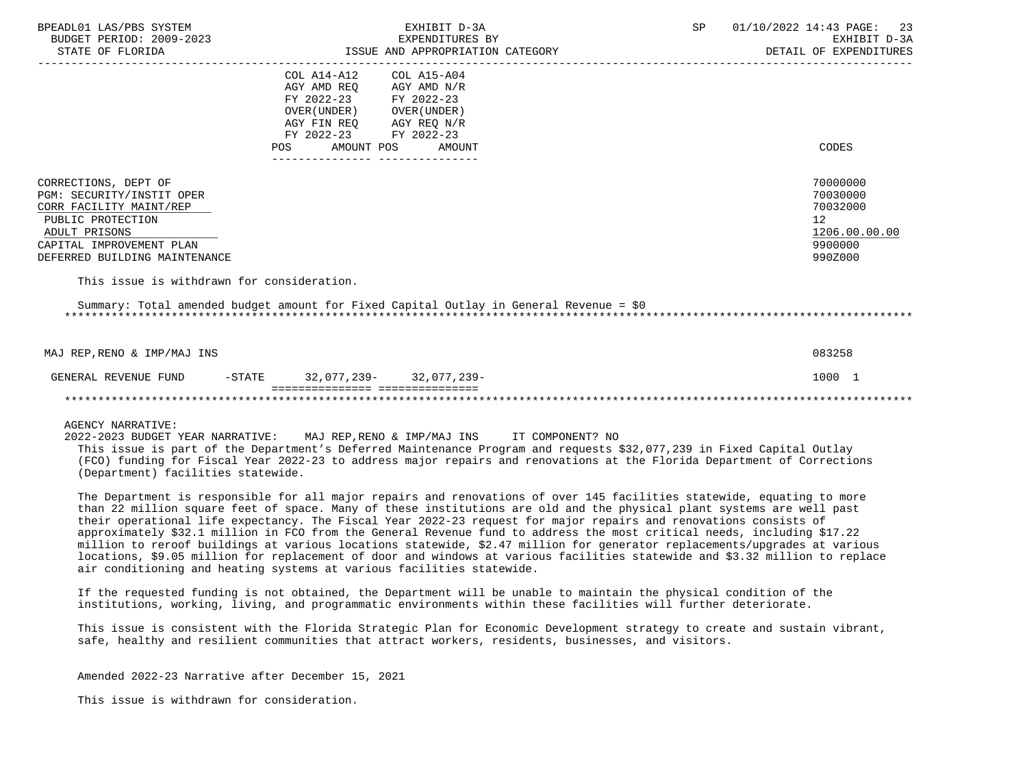| BPEADL01 LAS/PBS SYSTEM<br>BUDGET PERIOD: 2009-2023<br>STATE OF FLORIDA                                                                                                         | EXHIBIT D-3A<br>EXPENDITURES BY<br>EXPENDITION CATEGORY<br>ISSUE AND APPROPRIATION CATEGORY                                                                                                                                                                                                                                       | SP | 01/10/2022 14:43 PAGE:<br>23<br>EXHIBIT D-3A<br>DETAIL OF EXPENDITURES        |
|---------------------------------------------------------------------------------------------------------------------------------------------------------------------------------|-----------------------------------------------------------------------------------------------------------------------------------------------------------------------------------------------------------------------------------------------------------------------------------------------------------------------------------|----|-------------------------------------------------------------------------------|
|                                                                                                                                                                                 | COL A14-A12<br>COL A15-A04<br>AGY AMD REO AGY AMD N/R<br>FY 2022-23 FY 2022-23<br>OVER (UNDER) OVER (UNDER)<br>AGY FIN REQ        AGY REQ N/R<br>FY 2022-23       FY 2022-23                                                                                                                                                      |    |                                                                               |
|                                                                                                                                                                                 | AMOUNT POS AMOUNT<br><b>POS</b>                                                                                                                                                                                                                                                                                                   |    | CODES                                                                         |
| CORRECTIONS, DEPT OF<br>PGM: SECURITY/INSTIT OPER<br>CORR FACILITY MAINT/REP<br>PUBLIC PROTECTION<br>ADULT PRISONS<br>CAPITAL IMPROVEMENT PLAN<br>DEFERRED BUILDING MAINTENANCE |                                                                                                                                                                                                                                                                                                                                   |    | 70000000<br>70030000<br>70032000<br>12<br>1206.00.00.00<br>9900000<br>990Z000 |
| This issue is withdrawn for consideration.                                                                                                                                      |                                                                                                                                                                                                                                                                                                                                   |    |                                                                               |
|                                                                                                                                                                                 | Summary: Total amended budget amount for Fixed Capital Outlay in General Revenue = \$0                                                                                                                                                                                                                                            |    |                                                                               |
| MAJ REP, RENO & IMP/MAJ INS                                                                                                                                                     |                                                                                                                                                                                                                                                                                                                                   |    | 083258                                                                        |
|                                                                                                                                                                                 | GENERAL REVENUE FUND -STATE 32,077,239- 32,077,239-<br>=================================                                                                                                                                                                                                                                          |    | 1000 1                                                                        |
|                                                                                                                                                                                 |                                                                                                                                                                                                                                                                                                                                   |    |                                                                               |
| AGENCY NARRATIVE:<br>(Department) facilities statewide.                                                                                                                         | 2022-2023 BUDGET YEAR NARRATIVE: MAJ REP, RENO & IMP/MAJ INS IT COMPONENT? NO<br>This issue is part of the Department's Deferred Maintenance Program and requests \$32,077,239 in Fixed Capital Outlay<br>(FCO) funding for Fiscal Year 2022-23 to address major repairs and renovations at the Florida Department of Corrections |    |                                                                               |
|                                                                                                                                                                                 | The Department is responsible for all major repairs and renovations of over 145 facilities statewide, equating to more                                                                                                                                                                                                            |    |                                                                               |

 than 22 million square feet of space. Many of these institutions are old and the physical plant systems are well past their operational life expectancy. The Fiscal Year 2022-23 request for major repairs and renovations consists of approximately \$32.1 million in FCO from the General Revenue fund to address the most critical needs, including \$17.22 million to reroof buildings at various locations statewide, \$2.47 million for generator replacements/upgrades at various locations, \$9.05 million for replacement of door and windows at various facilities statewide and \$3.32 million to replace air conditioning and heating systems at various facilities statewide.

 If the requested funding is not obtained, the Department will be unable to maintain the physical condition of the institutions, working, living, and programmatic environments within these facilities will further deteriorate.

 This issue is consistent with the Florida Strategic Plan for Economic Development strategy to create and sustain vibrant, safe, healthy and resilient communities that attract workers, residents, businesses, and visitors.

Amended 2022-23 Narrative after December 15, 2021

This issue is withdrawn for consideration.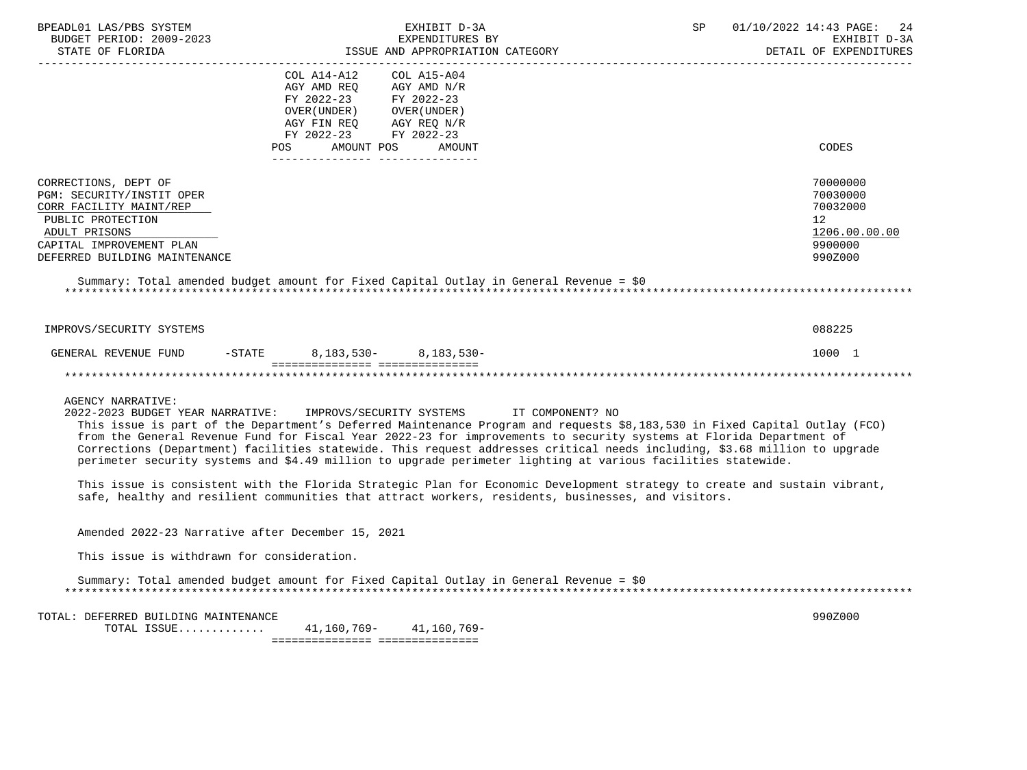| BPEADL01 LAS/PBS SYSTEM<br>BUDGET PERIOD: 2009-2023<br>STATE OF FLORIDA                                                                                                         |                                                                                                                                                                         | EXHIBIT D-3A<br>EXPENDITURES BY<br>ISSUE AND APPROPRIATION CATEGORY |                                                                                                                                                                                                                                                                                                                                                                                                                                                                                                                                                                                                                                                                                                                                   | SP | 01/10/2022 14:43 PAGE:<br>-24<br>EXHIBIT D-3A<br>DETAIL OF EXPENDITURES                    |
|---------------------------------------------------------------------------------------------------------------------------------------------------------------------------------|-------------------------------------------------------------------------------------------------------------------------------------------------------------------------|---------------------------------------------------------------------|-----------------------------------------------------------------------------------------------------------------------------------------------------------------------------------------------------------------------------------------------------------------------------------------------------------------------------------------------------------------------------------------------------------------------------------------------------------------------------------------------------------------------------------------------------------------------------------------------------------------------------------------------------------------------------------------------------------------------------------|----|--------------------------------------------------------------------------------------------|
|                                                                                                                                                                                 | COL A14-A12<br>AGY AMD REQ AGY AMD N/R<br>FY 2022-23 FY 2022-23<br>OVER(UNDER) OVER(UNDER)<br>AGY FIN REQ AGY REQ N/R<br>FY 2022-23 FY 2022-23<br>POS AMOUNT POS AMOUNT | COL A15-A04                                                         |                                                                                                                                                                                                                                                                                                                                                                                                                                                                                                                                                                                                                                                                                                                                   |    | CODES                                                                                      |
| CORRECTIONS, DEPT OF<br>PGM: SECURITY/INSTIT OPER<br>CORR FACILITY MAINT/REP<br>PUBLIC PROTECTION<br>ADULT PRISONS<br>CAPITAL IMPROVEMENT PLAN<br>DEFERRED BUILDING MAINTENANCE |                                                                                                                                                                         |                                                                     |                                                                                                                                                                                                                                                                                                                                                                                                                                                                                                                                                                                                                                                                                                                                   |    | 70000000<br>70030000<br>70032000<br>12 <sup>°</sup><br>1206.00.00.00<br>9900000<br>990Z000 |
| Summary: Total amended budget amount for Fixed Capital Outlay in General Revenue = \$0                                                                                          |                                                                                                                                                                         |                                                                     |                                                                                                                                                                                                                                                                                                                                                                                                                                                                                                                                                                                                                                                                                                                                   |    |                                                                                            |
| IMPROVS/SECURITY SYSTEMS                                                                                                                                                        |                                                                                                                                                                         |                                                                     |                                                                                                                                                                                                                                                                                                                                                                                                                                                                                                                                                                                                                                                                                                                                   |    | 088225                                                                                     |
| GENERAL REVENUE FUND -STATE 8,183,530- 8,183,530-                                                                                                                               | =================================                                                                                                                                       |                                                                     |                                                                                                                                                                                                                                                                                                                                                                                                                                                                                                                                                                                                                                                                                                                                   |    | 1000 1                                                                                     |
| <b>AGENCY NARRATIVE:</b><br>2022-2023 BUDGET YEAR NARRATIVE: IMPROVS/SECURITY SYSTEMS IT COMPONENT? NO                                                                          |                                                                                                                                                                         |                                                                     | This issue is part of the Department's Deferred Maintenance Program and requests \$8,183,530 in Fixed Capital Outlay (FCO)<br>from the General Revenue Fund for Fiscal Year 2022-23 for improvements to security systems at Florida Department of<br>Corrections (Department) facilities statewide. This request addresses critical needs including, \$3.68 million to upgrade<br>perimeter security systems and \$4.49 million to upgrade perimeter lighting at various facilities statewide.<br>This issue is consistent with the Florida Strategic Plan for Economic Development strategy to create and sustain vibrant,<br>safe, healthy and resilient communities that attract workers, residents, businesses, and visitors. |    |                                                                                            |
| Amended 2022-23 Narrative after December 15, 2021                                                                                                                               |                                                                                                                                                                         |                                                                     |                                                                                                                                                                                                                                                                                                                                                                                                                                                                                                                                                                                                                                                                                                                                   |    |                                                                                            |
| This issue is withdrawn for consideration.                                                                                                                                      |                                                                                                                                                                         |                                                                     |                                                                                                                                                                                                                                                                                                                                                                                                                                                                                                                                                                                                                                                                                                                                   |    |                                                                                            |
| Summary: Total amended budget amount for Fixed Capital Outlay in General Revenue = \$0                                                                                          |                                                                                                                                                                         |                                                                     |                                                                                                                                                                                                                                                                                                                                                                                                                                                                                                                                                                                                                                                                                                                                   |    |                                                                                            |
| TOTAL: DEFERRED BUILDING MAINTENANCE<br>TOTAL ISSUE                                                                                                                             | $41, 160, 769 -$<br>=================================                                                                                                                   | 41,160,769–                                                         |                                                                                                                                                                                                                                                                                                                                                                                                                                                                                                                                                                                                                                                                                                                                   |    | 990Z000                                                                                    |
|                                                                                                                                                                                 |                                                                                                                                                                         |                                                                     |                                                                                                                                                                                                                                                                                                                                                                                                                                                                                                                                                                                                                                                                                                                                   |    |                                                                                            |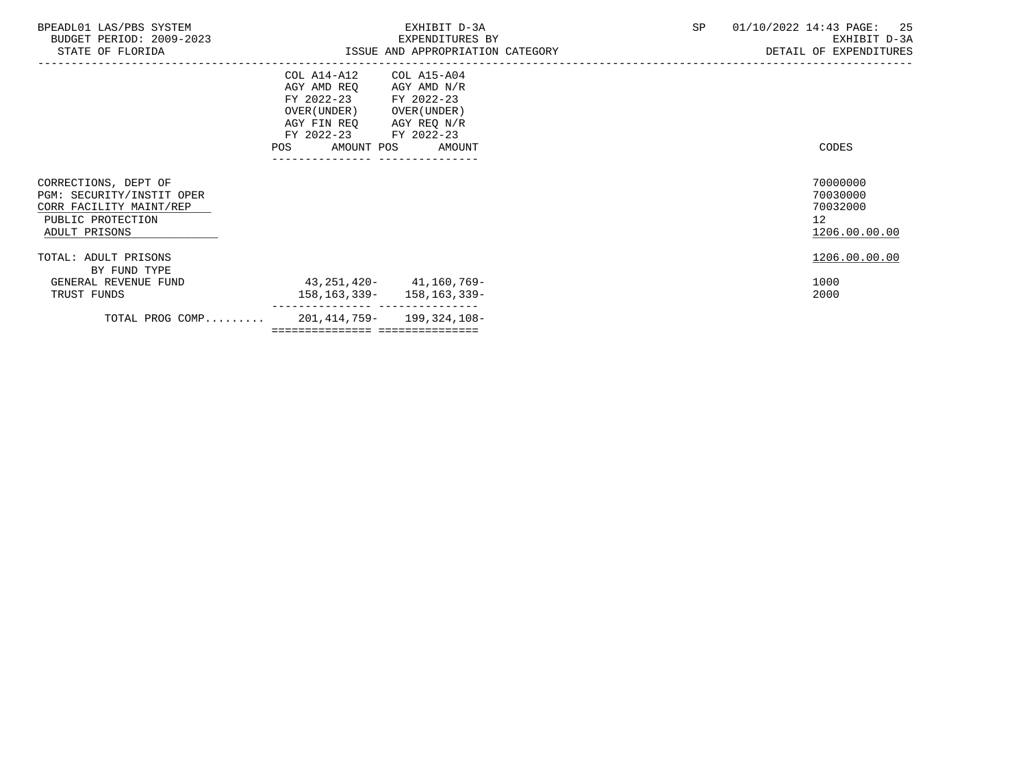| BPEADL01 LAS/PBS SYSTEM<br>BUDGET PERIOD: 2009-2023<br>STATE OF FLORIDA                                            | EXHIBIT D-3A<br>EXPENDITURES BY<br>ISSUE AND APPROPRIATION CATEGORY                                                                                                                              | SP | 01/10/2022 14:43 PAGE: 25<br>EXHIBIT D-3A<br>DETAIL OF EXPENDITURES  |
|--------------------------------------------------------------------------------------------------------------------|--------------------------------------------------------------------------------------------------------------------------------------------------------------------------------------------------|----|----------------------------------------------------------------------|
|                                                                                                                    | --------------------------<br>COL A14-A12<br>COL A15-A04<br>AGY AMD REQ<br>AGY AMD N/R<br>FY 2022-23 FY 2022-23<br>OVER (UNDER) OVER (UNDER)<br>AGY FIN REQ AGY REQ N/R<br>FY 2022-23 FY 2022-23 |    |                                                                      |
|                                                                                                                    | POS AMOUNT POS AMOUNT                                                                                                                                                                            |    | CODES                                                                |
| CORRECTIONS, DEPT OF<br>PGM: SECURITY/INSTIT OPER<br>CORR FACILITY MAINT/REP<br>PUBLIC PROTECTION<br>ADULT PRISONS |                                                                                                                                                                                                  |    | 70000000<br>70030000<br>70032000<br>12 <sup>°</sup><br>1206.00.00.00 |
| TOTAL: ADULT PRISONS<br>BY FUND TYPE                                                                               |                                                                                                                                                                                                  |    | 1206.00.00.00                                                        |
| GENERAL REVENUE FUND<br>TRUST FUNDS                                                                                | 43,251,420-41,160,769-<br>158, 163, 339 - 158, 163, 339 -                                                                                                                                        |    | 1000<br>2000                                                         |
|                                                                                                                    | ---------- ---------------<br>TOTAL PROG COMP 201, 414, 759- 199, 324, 108-<br>=================================                                                                                 |    |                                                                      |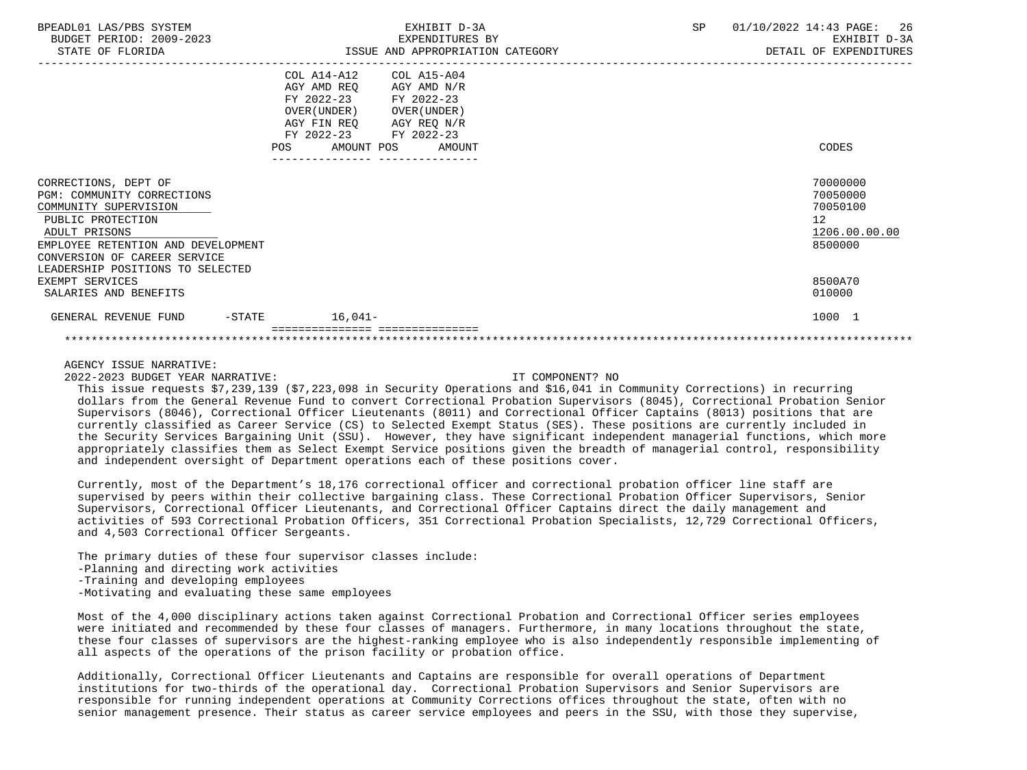| BPEADL01 LAS/PBS SYSTEM<br>BUDGET PERIOD: 2009-2023<br>STATE OF FLORIDA                                                                                                                                                     |                                                                                                                                                                                       | EXHIBIT D-3A<br>EXPENDITURES BY<br>ISSUE AND APPROPRIATION CATEGORY | SP | 01/10/2022 14:43 PAGE: 26<br>EXHIBIT D-3A<br>DETAIL OF EXPENDITURES |
|-----------------------------------------------------------------------------------------------------------------------------------------------------------------------------------------------------------------------------|---------------------------------------------------------------------------------------------------------------------------------------------------------------------------------------|---------------------------------------------------------------------|----|---------------------------------------------------------------------|
|                                                                                                                                                                                                                             | COL A14-A12 COL A15-A04<br>AGY AMD REQ AGY AMD N/R<br>FY 2022-23 FY 2022-23<br>OVER (UNDER) OVER (UNDER)<br>AGY FIN REQ AGY REQ N/R<br>FY 2022-23 FY 2022-23<br>POS AMOUNT POS AMOUNT |                                                                     |    | CODES                                                               |
| CORRECTIONS, DEPT OF<br>PGM: COMMUNITY CORRECTIONS<br>COMMUNITY SUPERVISION<br>PUBLIC PROTECTION<br>ADULT PRISONS<br>EMPLOYEE RETENTION AND DEVELOPMENT<br>CONVERSION OF CAREER SERVICE<br>LEADERSHIP POSITIONS TO SELECTED |                                                                                                                                                                                       |                                                                     |    | 70000000<br>70050000<br>70050100<br>12<br>1206.00.00.00<br>8500000  |
| EXEMPT SERVICES<br>SALARIES AND BENEFITS                                                                                                                                                                                    |                                                                                                                                                                                       |                                                                     |    | 8500A70<br>010000                                                   |
| GENERAL REVENUE FUND<br>$-STATE$                                                                                                                                                                                            | $16,041-$                                                                                                                                                                             |                                                                     |    | 1000 1                                                              |

2022-2023 BUDGET YEAR NARRATIVE: IT COMPONENT? NO

 This issue requests \$7,239,139 (\$7,223,098 in Security Operations and \$16,041 in Community Corrections) in recurring dollars from the General Revenue Fund to convert Correctional Probation Supervisors (8045), Correctional Probation Senior Supervisors (8046), Correctional Officer Lieutenants (8011) and Correctional Officer Captains (8013) positions that are currently classified as Career Service (CS) to Selected Exempt Status (SES). These positions are currently included in the Security Services Bargaining Unit (SSU). However, they have significant independent managerial functions, which more appropriately classifies them as Select Exempt Service positions given the breadth of managerial control, responsibility and independent oversight of Department operations each of these positions cover.

 Currently, most of the Department's 18,176 correctional officer and correctional probation officer line staff are supervised by peers within their collective bargaining class. These Correctional Probation Officer Supervisors, Senior Supervisors, Correctional Officer Lieutenants, and Correctional Officer Captains direct the daily management and activities of 593 Correctional Probation Officers, 351 Correctional Probation Specialists, 12,729 Correctional Officers, and 4,503 Correctional Officer Sergeants.

 The primary duties of these four supervisor classes include: -Planning and directing work activities -Training and developing employees -Motivating and evaluating these same employees

 Most of the 4,000 disciplinary actions taken against Correctional Probation and Correctional Officer series employees were initiated and recommended by these four classes of managers. Furthermore, in many locations throughout the state, these four classes of supervisors are the highest-ranking employee who is also independently responsible implementing of all aspects of the operations of the prison facility or probation office.

 Additionally, Correctional Officer Lieutenants and Captains are responsible for overall operations of Department institutions for two-thirds of the operational day. Correctional Probation Supervisors and Senior Supervisors are responsible for running independent operations at Community Corrections offices throughout the state, often with no senior management presence. Their status as career service employees and peers in the SSU, with those they supervise,